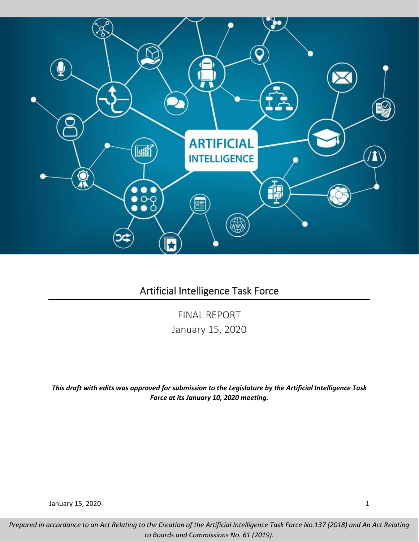

# Artificial Intelligence Task Force

FINAL REPORT January 15, 2020

*This draft with edits was approved for submission to the Legislature by the Artificial Intelligence Task Force at its January 10, 2020 meeting.*

January 15, 2020 1

*Prepared in accordance to an Act Relating to the Creation of the Artificial Intelligence Task Force No.137 (2018) and An Act Relating to Boards and Commissions No. 61 (2019).*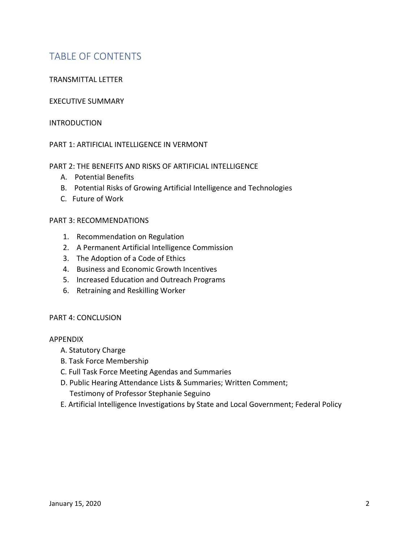# TABLE OF CONTENTS

# TRANSMITTAL LETTER

# EXECUTIVE SUMMARY

## INTRODUCTION

# PART 1: ARTIFICIAL INTELLIGENCE IN VERMONT

## PART 2: THE BENEFITS AND RISKS OF ARTIFICIAL INTELLIGENCE

- A. Potential Benefits
- B. Potential Risks of Growing Artificial Intelligence and Technologies
- C. Future of Work

## PART 3: RECOMMENDATIONS

- 1. Recommendation on Regulation
- 2. A Permanent Artificial Intelligence Commission
- 3. The Adoption of a Code of Ethics
- 4. Business and Economic Growth Incentives
- 5. Increased Education and Outreach Programs
- 6. Retraining and Reskilling Worker

# PART 4: CONCLUSION

### APPENDIX

- A. Statutory Charge
- B. Task Force Membership
- C. Full Task Force Meeting Agendas and Summaries
- D. Public Hearing Attendance Lists & Summaries; Written Comment;
	- Testimony of Professor Stephanie Seguino
- E. Artificial Intelligence Investigations by State and Local Government; Federal Policy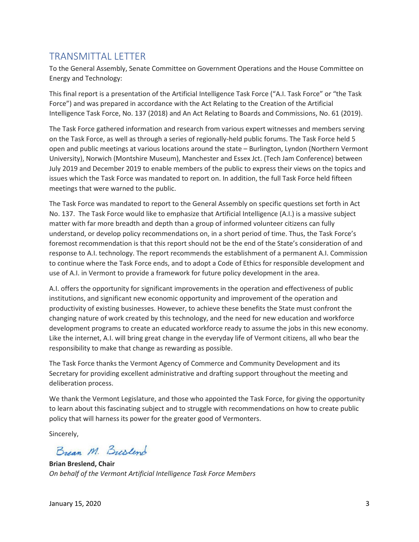# TRANSMITTAL LETTER

To the General Assembly, Senate Committee on Government Operations and the House Committee on Energy and Technology:

This final report is a presentation of the Artificial Intelligence Task Force ("A.I. Task Force" or "the Task Force") and was prepared in accordance with the Act Relating to the Creation of the Artificial Intelligence Task Force, No. 137 (2018) and An Act Relating to Boards and Commissions, No. 61 (2019).

The Task Force gathered information and research from various expert witnesses and members serving on the Task Force, as well as through a series of regionally-held public forums. The Task Force held 5 open and public meetings at various locations around the state – Burlington, Lyndon (Northern Vermont University), Norwich (Montshire Museum), Manchester and Essex Jct. (Tech Jam Conference) between July 2019 and December 2019 to enable members of the public to express their views on the topics and issues which the Task Force was mandated to report on. In addition, the full Task Force held fifteen meetings that were warned to the public.

The Task Force was mandated to report to the General Assembly on specific questions set forth in Act No. 137. The Task Force would like to emphasize that Artificial Intelligence (A.I.) is a massive subject matter with far more breadth and depth than a group of informed volunteer citizens can fully understand, or develop policy recommendations on, in a short period of time. Thus, the Task Force's foremost recommendation is that this report should not be the end of the State's consideration of and response to A.I. technology. The report recommends the establishment of a permanent A.I. Commission to continue where the Task Force ends, and to adopt a Code of Ethics for responsible development and use of A.I. in Vermont to provide a framework for future policy development in the area.

A.I. offers the opportunity for significant improvements in the operation and effectiveness of public institutions, and significant new economic opportunity and improvement of the operation and productivity of existing businesses. However, to achieve these benefits the State must confront the changing nature of work created by this technology, and the need for new education and workforce development programs to create an educated workforce ready to assume the jobs in this new economy. Like the internet, A.I. will bring great change in the everyday life of Vermont citizens, all who bear the responsibility to make that change as rewarding as possible.

The Task Force thanks the Vermont Agency of Commerce and Community Development and its Secretary for providing excellent administrative and drafting support throughout the meeting and deliberation process.

We thank the Vermont Legislature, and those who appointed the Task Force, for giving the opportunity to learn about this fascinating subject and to struggle with recommendations on how to create public policy that will harness its power for the greater good of Vermonters.

Sincerely,

Bream M. Busland

**Brian Breslend, Chair** *On behalf of the Vermont Artificial Intelligence Task Force Members*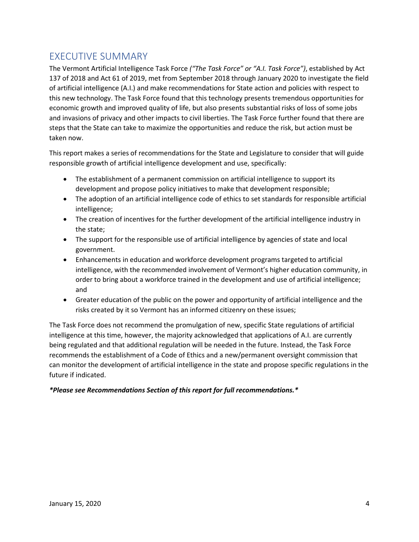# EXECUTIVE SUMMARY

The Vermont Artificial Intelligence Task Force *("The Task Force" or "A.I. Task Force")*, established by Act 137 of 2018 and Act 61 of 2019, met from September 2018 through January 2020 to investigate the field of artificial intelligence (A.I.) and make recommendations for State action and policies with respect to this new technology. The Task Force found that this technology presents tremendous opportunities for economic growth and improved quality of life, but also presents substantial risks of loss of some jobs and invasions of privacy and other impacts to civil liberties. The Task Force further found that there are steps that the State can take to maximize the opportunities and reduce the risk, but action must be taken now.

This report makes a series of recommendations for the State and Legislature to consider that will guide responsible growth of artificial intelligence development and use, specifically:

- The establishment of a permanent commission on artificial intelligence to support its development and propose policy initiatives to make that development responsible;
- The adoption of an artificial intelligence code of ethics to set standards for responsible artificial intelligence;
- The creation of incentives for the further development of the artificial intelligence industry in the state;
- The support for the responsible use of artificial intelligence by agencies of state and local government.
- Enhancements in education and workforce development programs targeted to artificial intelligence, with the recommended involvement of Vermont's higher education community, in order to bring about a workforce trained in the development and use of artificial intelligence; and
- Greater education of the public on the power and opportunity of artificial intelligence and the risks created by it so Vermont has an informed citizenry on these issues;

The Task Force does not recommend the promulgation of new, specific State regulations of artificial intelligence at this time, however, the majority acknowledged that applications of A.I. are currently being regulated and that additional regulation will be needed in the future. Instead, the Task Force recommends the establishment of a Code of Ethics and a new/permanent oversight commission that can monitor the development of artificial intelligence in the state and propose specific regulations in the future if indicated.

# *\*Please see Recommendations Section of this report for full recommendations.\**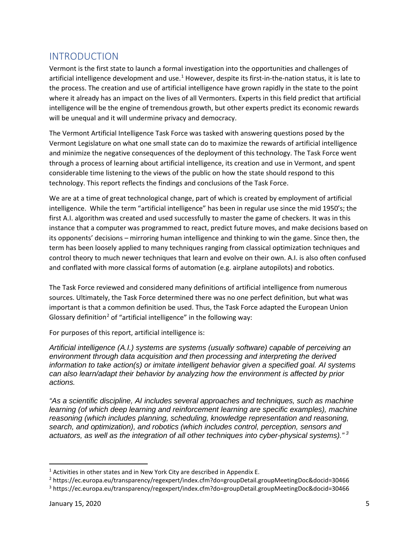# INTRODUCTION

Vermont is the first state to launch a formal investigation into the opportunities and challenges of artificial intelligence development and use.<sup>[1](#page-4-0)</sup> However, despite its first-in-the-nation status, it is late to the process. The creation and use of artificial intelligence have grown rapidly in the state to the point where it already has an impact on the lives of all Vermonters. Experts in this field predict that artificial intelligence will be the engine of tremendous growth, but other experts predict its economic rewards will be unequal and it will undermine privacy and democracy.

The Vermont Artificial Intelligence Task Force was tasked with answering questions posed by the Vermont Legislature on what one small state can do to maximize the rewards of artificial intelligence and minimize the negative consequences of the deployment of this technology. The Task Force went through a process of learning about artificial intelligence, its creation and use in Vermont, and spent considerable time listening to the views of the public on how the state should respond to this technology. This report reflects the findings and conclusions of the Task Force.

We are at a time of great technological change, part of which is created by employment of artificial intelligence. While the term "artificial intelligence" has been in regular use since the mid 1950's; the first A.I. algorithm was created and used successfully to master the game of checkers. It was in this instance that a computer was programmed to react, predict future moves, and make decisions based on its opponents' decisions – mirroring human intelligence and thinking to win the game. Since then, the term has been loosely applied to many techniques ranging from classical optimization techniques and control theory to much newer techniques that learn and evolve on their own. A.I. is also often confused and conflated with more classical forms of automation (e.g. airplane autopilots) and robotics.

The Task Force reviewed and considered many definitions of artificial intelligence from numerous sources. Ultimately, the Task Force determined there was no one perfect definition, but what was important is that a common definition be used. Thus, the Task Force adapted the European Union Glossary definition<sup>[2](#page-4-1)</sup> of "artificial intelligence" in the following way:

For purposes of this report, artificial intelligence is:

*Artificial intelligence (A.I.) systems are systems (usually software) capable of perceiving an environment through data acquisition and then processing and interpreting the derived information to take action(s) or imitate intelligent behavior given a specified goal. AI systems can also learn/adapt their behavior by analyzing how the environment is affected by prior actions.* 

*"As a scientific discipline, AI includes several approaches and techniques, such as machine learning (of which deep learning and reinforcement learning are specific examples), machine reasoning (which includes planning, scheduling, knowledge representation and reasoning, search, and optimization), and robotics (which includes control, perception, sensors and actuators, as well as the integration of all other techniques into cyber-physical systems)." [3](#page-4-2)*

<span id="page-4-0"></span><sup>&</sup>lt;sup>1</sup> Activities in other states and in New York City are described in Appendix E.

<span id="page-4-1"></span><sup>2</sup> https://ec.europa.eu/transparency/regexpert/index.cfm?do=groupDetail.groupMeetingDoc&docid=30466

<span id="page-4-2"></span><sup>3</sup> https://ec.europa.eu/transparency/regexpert/index.cfm?do=groupDetail.groupMeetingDoc&docid=30466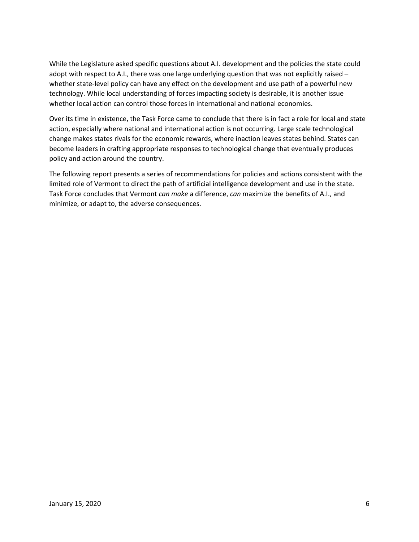While the Legislature asked specific questions about A.I. development and the policies the state could adopt with respect to A.I., there was one large underlying question that was not explicitly raised – whether state-level policy can have any effect on the development and use path of a powerful new technology. While local understanding of forces impacting society is desirable, it is another issue whether local action can control those forces in international and national economies.

Over its time in existence, the Task Force came to conclude that there is in fact a role for local and state action, especially where national and international action is not occurring. Large scale technological change makes states rivals for the economic rewards, where inaction leaves states behind. States can become leaders in crafting appropriate responses to technological change that eventually produces policy and action around the country.

The following report presents a series of recommendations for policies and actions consistent with the limited role of Vermont to direct the path of artificial intelligence development and use in the state. Task Force concludes that Vermont *can make* a difference, *can* maximize the benefits of A.I., and minimize, or adapt to, the adverse consequences.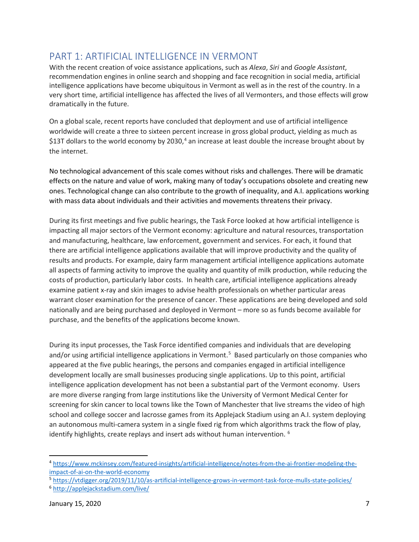# PART 1: ARTIFICIAL INTELLIGENCE IN VERMONT

With the recent creation of voice assistance applications, such as *Alexa*, *Siri* and *Google Assistant*, recommendation engines in online search and shopping and face recognition in social media, artificial intelligence applications have become ubiquitous in Vermont as well as in the rest of the country. In a very short time, artificial intelligence has affected the lives of all Vermonters, and those effects will grow dramatically in the future.

On a global scale, recent reports have concluded that deployment and use of artificial intelligence worldwide will create a three to sixteen percent increase in gross global product, yielding as much as \$13T dollars to the world economy by 2030,<sup>[4](#page-6-0)</sup> an increase at least double the increase brought about by the internet.

No technological advancement of this scale comes without risks and challenges. There will be dramatic effects on the nature and value of work, making many of today's occupations obsolete and creating new ones. Technological change can also contribute to the growth of inequality, and A.I. applications working with mass data about individuals and their activities and movements threatens their privacy.

During its first meetings and five public hearings, the Task Force looked at how artificial intelligence is impacting all major sectors of the Vermont economy: agriculture and natural resources, transportation and manufacturing, healthcare, law enforcement, government and services. For each, it found that there are artificial intelligence applications available that will improve productivity and the quality of results and products. For example, dairy farm management artificial intelligence applications automate all aspects of farming activity to improve the quality and quantity of milk production, while reducing the costs of production, particularly labor costs. In health care, artificial intelligence applications already examine patient x-ray and skin images to advise health professionals on whether particular areas warrant closer examination for the presence of cancer. These applications are being developed and sold nationally and are being purchased and deployed in Vermont – more so as funds become available for purchase, and the benefits of the applications become known.

During its input processes, the Task Force identified companies and individuals that are developing and/or using artificial intelligence applications in Vermont.<sup>[5](#page-6-1)</sup> Based particularly on those companies who appeared at the five public hearings, the persons and companies engaged in artificial intelligence development locally are small businesses producing single applications. Up to this point, artificial intelligence application development has not been a substantial part of the Vermont economy. Users are more diverse ranging from large institutions like the University of Vermont Medical Center for screening for skin cancer to local towns like the Town of Manchester that live streams the video of high school and college soccer and lacrosse games from its Applejack Stadium using an A.I. system deploying an autonomous multi-camera system in a single fixed rig from which algorithms track the flow of play, identify highlights, create replays and insert ads without human intervention. <sup>[6](#page-6-2)</sup>

<span id="page-6-0"></span><sup>4</sup> [https://www.mckinsey.com/featured-insights/artificial-intelligence/notes-from-the-ai-frontier-modeling-the](https://www.mckinsey.com/featured-insights/artificial-intelligence/notes-from-the-ai-frontier-modeling-the-impact-of-ai-on-the-world-economy)[impact-of-ai-on-the-world-economy](https://www.mckinsey.com/featured-insights/artificial-intelligence/notes-from-the-ai-frontier-modeling-the-impact-of-ai-on-the-world-economy)

<span id="page-6-1"></span><sup>5</sup> <https://vtdigger.org/2019/11/10/as-artificial-intelligence-grows-in-vermont-task-force-mulls-state-policies/>

<span id="page-6-2"></span><sup>6</sup> <http://applejackstadium.com/live/>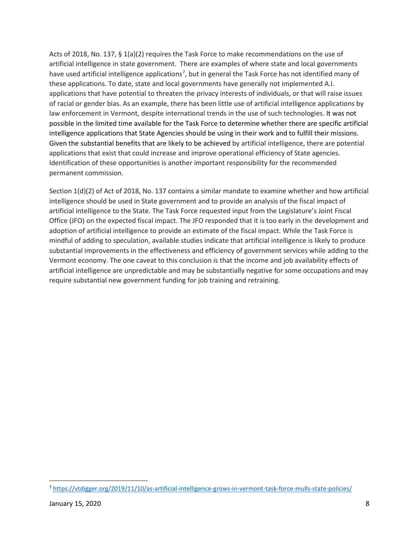Acts of 2018, No. 137, § 1(a)(2) requires the Task Force to make recommendations on the use of artificial intelligence in state government. There are examples of where state and local governments have used artificial intelligence applications<sup>[7](#page-7-0)</sup>, but in general the Task Force has not identified many of these applications. To date, state and local governments have generally not implemented A.I. applications that have potential to threaten the privacy interests of individuals, or that will raise issues of racial or gender bias. As an example, there has been little use of artificial intelligence applications by law enforcement in Vermont, despite international trends in the use of such technologies. It was not possible in the limited time available for the Task Force to determine whether there are specific artificial intelligence applications that State Agencies should be using in their work and to fulfill their missions. Given the substantial benefits that are likely to be achieved by artificial intelligence, there are potential applications that exist that could increase and improve operational efficiency of State agencies. Identification of these opportunities is another important responsibility for the recommended permanent commission.

Section 1(d)(2) of Act of 2018, No. 137 contains a similar mandate to examine whether and how artificial intelligence should be used in State government and to provide an analysis of the fiscal impact of artificial intelligence to the State. The Task Force requested input from the Legislature's Joint Fiscal Office (JFO) on the expected fiscal impact. The JFO responded that it is too early in the development and adoption of artificial intelligence to provide an estimate of the fiscal impact. While the Task Force is mindful of adding to speculation, available studies indicate that artificial intelligence is likely to produce substantial improvements in the effectiveness and efficiency of government services while adding to the Vermont economy. The one caveat to this conclusion is that the income and job availability effects of artificial intelligence are unpredictable and may be substantially negative for some occupations and may require substantial new government funding for job training and retraining.

<span id="page-7-0"></span><sup>7</sup> <https://vtdigger.org/2019/11/10/as-artificial-intelligence-grows-in-vermont-task-force-mulls-state-policies/>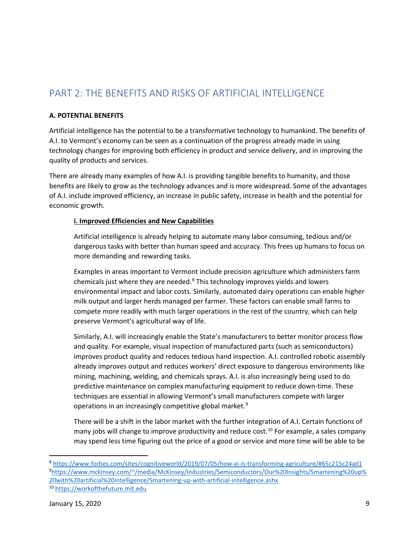# PART 2: THE BENEFITS AND RISKS OF ARTIFICIAL INTELLIGENCE

### **A. POTENTIAL BENEFITS**

Artificial intelligence has the potential to be a transformative technology to humankind. The benefits of A.I. to Vermont's economy can be seen as a continuation of the progress already made in using technology changes for improving both efficiency in product and service delivery, and in improving the quality of products and services.

There are already many examples of how A.I. is providing tangible benefits to humanity, and those benefits are likely to grow as the technology advances and is more widespread. Some of the advantages of A.I. include improved efficiency, an increase in public safety, increase in health and the potential for economic growth.

## **i. Improved Efficiencies and New Capabilities**

Artificial intelligence is already helping to automate many labor consuming, tedious and/or dangerous tasks with better than human speed and accuracy. This frees up humans to focus on more demanding and rewarding tasks.

Examples in areas important to Vermont include precision agriculture which administers farm chemicals just where they are needed. $8$  This technology improves yields and lowers environmental impact and labor costs. Similarly, automated dairy operations can enable higher milk output and larger herds managed per farmer. These factors can enable small farms to compete more readily with much larger operations in the rest of the country, which can help preserve Vermont's agricultural way of life.

Similarly, A.I. will increasingly enable the State's manufacturers to better monitor process flow and quality. For example, visual inspection of manufactured parts (such as semiconductors) improves product quality and reduces tedious hand inspection. A.I. controlled robotic assembly already improves output and reduces workers' direct exposure to dangerous environments like mining, machining, welding, and chemicals sprays. A.I. is also increasingly being used to do predictive maintenance on complex manufacturing equipment to reduce down-time. These techniques are essential in allowing Vermont's small manufacturers compete with larger operations in an increasingly competitive global market.<sup>[9](#page-8-1)</sup>

There will be a shift in the labor market with the further integration of A.I. Certain functions of many jobs will change to improve productivity and reduce cost.<sup>[10](#page-8-2)</sup> For example, a sales company may spend less time figuring out the price of a good or service and more time will be able to be

<span id="page-8-1"></span><span id="page-8-0"></span><sup>8</sup> <https://www.forbes.com/sites/cognitiveworld/2019/07/05/how-ai-is-transforming-agriculture/#65c215c24ad1> 9 [https://www.mckinsey.com/~/media/McKinsey/Industries/Semiconductors/Our%20Insights/Smartening%20up%](https://www.mckinsey.com/%7E/media/McKinsey/Industries/Semiconductors/Our%20Insights/Smartening%20up%20with%20artificial%20intelligence/Smartening-up-with-artificial-intelligence.ashx) [20with%20artificial%20intelligence/Smartening-up-with-artificial-intelligence.ashx](https://www.mckinsey.com/%7E/media/McKinsey/Industries/Semiconductors/Our%20Insights/Smartening%20up%20with%20artificial%20intelligence/Smartening-up-with-artificial-intelligence.ashx)

<span id="page-8-2"></span><sup>10</sup> [https://workofthefuture.mit.edu](https://workofthefuture.mit.edu/)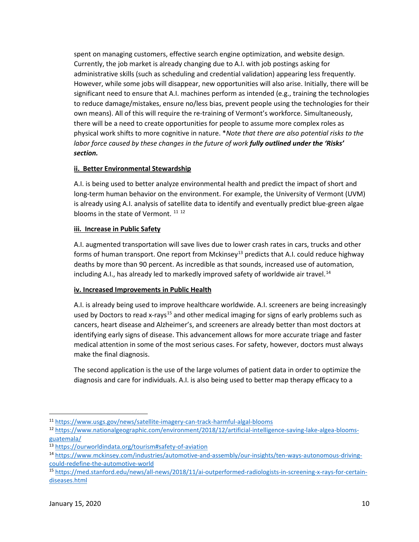spent on managing customers, effective search engine optimization, and website design. Currently, the job market is already changing due to A.I. with job postings asking for administrative skills (such as scheduling and credential validation) appearing less frequently. However, while some jobs will disappear, new opportunities will also arise. Initially, there will be significant need to ensure that A.I. machines perform as intended (e.g., training the technologies to reduce damage/mistakes, ensure no/less bias, prevent people using the technologies for their own means). All of this will require the re-training of Vermont's workforce. Simultaneously, there will be a need to create opportunities for people to assume more complex roles as physical work shifts to more cognitive in nature. \**Note that there are also potential risks to the labor force caused by these changes in the future of work fully outlined under the 'Risks' section.*

## **ii. Better Environmental Stewardship**

A.I. is being used to better analyze environmental health and predict the impact of short and long-term human behavior on the environment. For example, the University of Vermont (UVM) is already using A.I. analysis of satellite data to identify and eventually predict blue-green algae blooms in the state of Vermont.  $11$   $12$ 

### **iii. Increase in Public Safety**

A.I. augmented transportation will save lives due to lower crash rates in cars, trucks and other forms of human transport. One report from Mckinsey<sup>[13](#page-9-2)</sup> predicts that A.I. could reduce highway deaths by more than 90 percent. As incredible as that sounds, increased use of automation, including A.I., has already led to markedly improved safety of worldwide air travel.<sup>[14](#page-9-3)</sup>

# **iv. Increased Improvements in Public Health**

A.I. is already being used to improve healthcare worldwide. A.I. screeners are being increasingly used by Doctors to read x-rays<sup>[15](#page-9-4)</sup> and other medical imaging for signs of early problems such as cancers, heart disease and Alzheimer's, and screeners are already better than most doctors at identifying early signs of disease. This advancement allows for more accurate triage and faster medical attention in some of the most serious cases. For safety, however, doctors must always make the final diagnosis.

The second application is the use of the large volumes of patient data in order to optimize the diagnosis and care for individuals. A.I. is also being used to better map therapy efficacy to a

<span id="page-9-0"></span><sup>11</sup> <https://www.usgs.gov/news/satellite-imagery-can-track-harmful-algal-blooms>

<span id="page-9-1"></span><sup>12</sup> [https://www.nationalgeographic.com/environment/2018/12/artificial-intelligence-saving-lake-algea-blooms](https://www.nationalgeographic.com/environment/2018/12/artificial-intelligence-saving-lake-algea-blooms-guatemala/)[guatemala/](https://www.nationalgeographic.com/environment/2018/12/artificial-intelligence-saving-lake-algea-blooms-guatemala/)

<span id="page-9-2"></span><sup>13</sup> <https://ourworldindata.org/tourism#safety-of-aviation>

<span id="page-9-3"></span><sup>14</sup> [https://www.mckinsey.com/industries/automotive-and-assembly/our-insights/ten-ways-autonomous-driving](https://www.mckinsey.com/industries/automotive-and-assembly/our-insights/ten-ways-autonomous-driving-could-redefine-the-automotive-world)[could-redefine-the-automotive-world](https://www.mckinsey.com/industries/automotive-and-assembly/our-insights/ten-ways-autonomous-driving-could-redefine-the-automotive-world)

<span id="page-9-4"></span><sup>15</sup> [https://med.stanford.edu/news/all-news/2018/11/ai-outperformed-radiologists-in-screening-x-rays-for-certain](https://med.stanford.edu/news/all-news/2018/11/ai-outperformed-radiologists-in-screening-x-rays-for-certain-diseases.html)[diseases.html](https://med.stanford.edu/news/all-news/2018/11/ai-outperformed-radiologists-in-screening-x-rays-for-certain-diseases.html)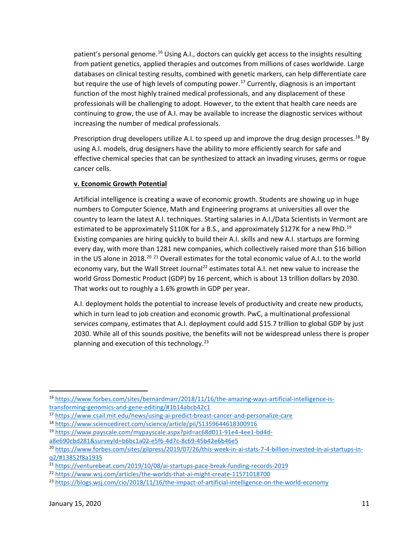patient's personal genome.<sup>[16](#page-10-0)</sup> Using A.I., doctors can quickly get access to the insights resulting from patient genetics, applied therapies and outcomes from millions of cases worldwide. Large databases on clinical testing results, combined with genetic markers, can help differentiate care but require the use of high levels of computing power.<sup>[17](#page-10-1)</sup> Currently, diagnosis is an important function of the most highly trained medical professionals, and any displacement of these professionals will be challenging to adopt. However, to the extent that health care needs are continuing to grow, the use of A.I. may be available to increase the diagnostic services without increasing the number of medical professionals.

Prescription drug developers utilize A.I. to speed up and improve the drug design processes.<sup>[18](#page-10-2)</sup> By using A.I. models, drug designers have the ability to more efficiently search for safe and effective chemical species that can be synthesized to attack an invading viruses, germs or rogue cancer cells.

# **v. Economic Growth Potential**

Artificial intelligence is creating a wave of economic growth. Students are showing up in huge numbers to Computer Science, Math and Engineering programs at universities all over the country to learn the latest A.I. techniques. Starting salaries in A.I./Data Scientists in Vermont are estimated to be approximately \$110K for a B.S., and approximately \$127K for a new PhD.<sup>[19](#page-10-3)</sup> Existing companies are hiring quickly to build their A.I. skills and new A.I. startups are forming every day, with more than 1281 new companies, which collectively raised more than \$16 billion in the US alone in [20](#page-10-4)18.<sup>20 [21](#page-10-5)</sup> Overall estimates for the total economic value of A.I. to the world economy vary, but the Wall Street Journal<sup>[22](#page-10-6)</sup> estimates total A.I. net new value to increase the world Gross Domestic Product (GDP) by 16 percent, which is about 13 trillion dollars by 2030. That works out to roughly a 1.6% growth in GDP per year.

A.I. deployment holds the potential to increase levels of productivity and create new products, which in turn lead to job creation and economic growth. PwC, a multinational professional services company, estimates that A.I. deployment could add \$15.7 trillion to global GDP by just 2030. While all of this sounds positive, the benefits will not be widespread unless there is proper planning and execution of this technology.<sup>[23](#page-10-7)</sup>

<span id="page-10-0"></span><sup>16</sup> [https://www.forbes.com/sites/bernardmarr/2018/11/16/the-amazing-ways-artificial-intelligence-is](https://www.forbes.com/sites/bernardmarr/2018/11/16/the-amazing-ways-artificial-intelligence-is-transforming-genomics-and-gene-editing/#1b14abcb42c1)[transforming-genomics-and-gene-editing/#1b14abcb42c1](https://www.forbes.com/sites/bernardmarr/2018/11/16/the-amazing-ways-artificial-intelligence-is-transforming-genomics-and-gene-editing/#1b14abcb42c1)

<span id="page-10-1"></span><sup>17</sup> <https://www.csail.mit.edu/news/using-ai-predict-breast-cancer-and-personalize-care>

<span id="page-10-2"></span><sup>18</sup> <https://www.sciencedirect.com/science/article/pii/S1359644618300916>

<span id="page-10-3"></span><sup>19</sup> [https://www.payscale.com/mypayscale.aspx?pid=ac68d011-91e4-4ee1-bd4d-](https://www.payscale.com/mypayscale.aspx?pid=ac68d011-91e4-4ee1-bd4d-a8e690cbd281&surveyId=b6bc1a02-e5f6-4d7c-8c69-45b42e6b46e5)

[a8e690cbd281&surveyId=b6bc1a02-e5f6-4d7c-8c69-45b42e6b46e5](https://www.payscale.com/mypayscale.aspx?pid=ac68d011-91e4-4ee1-bd4d-a8e690cbd281&surveyId=b6bc1a02-e5f6-4d7c-8c69-45b42e6b46e5)

<span id="page-10-4"></span><sup>20</sup> [https://www.forbes.com/sites/gilpress/2019/07/26/this-week-in-ai-stats-7-4-billion-invested-in-ai-startups-in](https://www.forbes.com/sites/gilpress/2019/07/26/this-week-in-ai-stats-7-4-billion-invested-in-ai-startups-in-q2/#13852f8a1935)[q2/#13852f8a1935](https://www.forbes.com/sites/gilpress/2019/07/26/this-week-in-ai-stats-7-4-billion-invested-in-ai-startups-in-q2/#13852f8a1935)

<span id="page-10-5"></span><sup>21</sup> <https://venturebeat.com/2019/10/08/ai-startups-pace-break-funding-records-2019>

<span id="page-10-6"></span><sup>22</sup> <https://www.wsj.com/articles/the-worlds-that-ai-might-create-11571018700>

<span id="page-10-7"></span><sup>23</sup> <https://blogs.wsj.com/cio/2018/11/16/the-impact-of-artificial-intelligence-on-the-world-economy>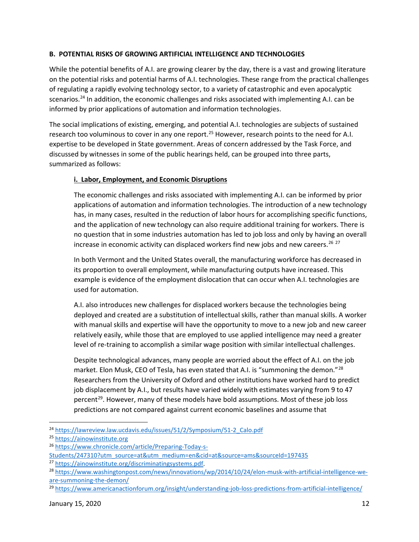## **B. POTENTIAL RISKS OF GROWING ARTIFICIAL INTELLIGENCE AND TECHNOLOGIES**

While the potential benefits of A.I. are growing clearer by the day, there is a vast and growing literature on the potential risks and potential harms of A.I. technologies. These range from the practical challenges of regulating a rapidly evolving technology sector, to a variety of catastrophic and even apocalyptic scenarios.<sup>[24](#page-11-0)</sup> In addition, the economic challenges and risks associated with implementing A.I. can be informed by prior applications of automation and information technologies.

The social implications of existing, emerging, and potential A.I. technologies are subjects of sustained research too voluminous to cover in any one report.<sup>[25](#page-11-1)</sup> However, research points to the need for A.I. expertise to be developed in State government. Areas of concern addressed by the Task Force, and discussed by witnesses in some of the public hearings held, can be grouped into three parts, summarized as follows:

# **i. Labor, Employment, and Economic Disruptions**

The economic challenges and risks associated with implementing A.I. can be informed by prior applications of automation and information technologies. The introduction of a new technology has, in many cases, resulted in the reduction of labor hours for accomplishing specific functions, and the application of new technology can also require additional training for workers. There is no question that in some industries automation has led to job loss and only by having an overall increase in economic activity can displaced workers find new jobs and new careers.<sup>[26](#page-11-2)</sup>  $27$ 

In both Vermont and the United States overall, the manufacturing workforce has decreased in its proportion to overall employment, while manufacturing outputs have increased. This example is evidence of the employment dislocation that can occur when A.I. technologies are used for automation.

A.I. also introduces new challenges for displaced workers because the technologies being deployed and created are a substitution of intellectual skills, rather than manual skills. A worker with manual skills and expertise will have the opportunity to move to a new job and new career relatively easily, while those that are employed to use applied intelligence may need a greater level of re-training to accomplish a similar wage position with similar intellectual challenges.

Despite technological advances, many people are worried about the effect of A.I. on the job market. Elon Musk, CEO of Tesla, has even stated that A.I. is "summoning the demon."<sup>[28](#page-11-4)</sup> Researchers from the University of Oxford and other institutions have worked hard to predict job displacement by A.I., but results have varied widely with estimates varying from 9 to 47 percent<sup>[29](#page-11-5)</sup>. However, many of these models have bold assumptions. Most of these job loss predictions are not compared against current economic baselines and assume that

<span id="page-11-0"></span><sup>&</sup>lt;sup>24</sup> [https://lawreview.law.ucdavis.edu/issues/51/2/Symposium/51-2\\_Calo.pdf](https://lawreview.law.ucdavis.edu/issues/51/2/Symposium/51-2_Calo.pdf)

<span id="page-11-1"></span><sup>25</sup> [https://ainowinstitute.org](https://ainowinstitute.org/)

<span id="page-11-2"></span><sup>26</sup> [https://www.chronicle.com/article/Preparing-Today-s-](https://www.chronicle.com/article/Preparing-Today-s-Students/247310?utm_source=at&utm_medium=en&cid=at&source=ams&sourceId=197435)

Students/247310?utm\_source=at&utm\_medium=en&cid=at&source=ams&sourceId=197435<br><sup>27</sup> [https://ainowinstitute.org/discriminatingsystems.pdf.](https://ainowinstitute.org/discriminatingsystems.pdf)

<span id="page-11-3"></span>

<span id="page-11-4"></span><sup>&</sup>lt;sup>28</sup> [https://www.washingtonpost.com/news/innovations/wp/2014/10/24/elon-musk-with-artificial-intelligence-we](https://www.washingtonpost.com/news/innovations/wp/2014/10/24/elon-musk-with-artificial-intelligence-we-are-summoning-the-demon/)[are-summoning-the-demon/](https://www.washingtonpost.com/news/innovations/wp/2014/10/24/elon-musk-with-artificial-intelligence-we-are-summoning-the-demon/)

<span id="page-11-5"></span><sup>&</sup>lt;sup>29</sup> <https://www.americanactionforum.org/insight/understanding-job-loss-predictions-from-artificial-intelligence/>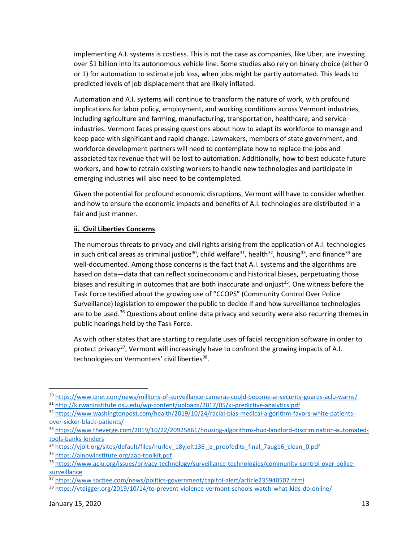implementing A.I. systems is costless. This is not the case as companies, like Uber, are investing over \$1 billion into its autonomous vehicle line. Some studies also rely on binary choice (either 0 or 1) for automation to estimate job loss, when jobs might be partly automated. This leads to predicted levels of job displacement that are likely inflated.

Automation and A.I. systems will continue to transform the nature of work, with profound implications for labor policy, employment, and working conditions across Vermont industries, including agriculture and farming, manufacturing, transportation, healthcare, and service industries. Vermont faces pressing questions about how to adapt its workforce to manage and keep pace with significant and rapid change. Lawmakers, members of state government, and workforce development partners will need to contemplate how to replace the jobs and associated tax revenue that will be lost to automation. Additionally, how to best educate future workers, and how to retrain existing workers to handle new technologies and participate in emerging industries will also need to be contemplated.

Given the potential for profound economic disruptions, Vermont will have to consider whether and how to ensure the economic impacts and benefits of A.I. technologies are distributed in a fair and just manner.

### **ii. Civil Liberties Concerns**

The numerous threats to privacy and civil rights arising from the application of A.I. technologies in such critical areas as criminal justice<sup>30</sup>, child welfare<sup>31</sup>, health<sup>[32](#page-12-2)</sup>, housing<sup>33</sup>, and finance<sup>[34](#page-12-4)</sup> are well-documented. Among those concerns is the fact that A.I. systems and the algorithms are based on data—data that can reflect socioeconomic and historical biases, perpetuating those biases and resulting in outcomes that are both inaccurate and unjust<sup>[35](#page-12-5)</sup>. One witness before the Task Force testified about the growing use of "CCOPS" (Community Control Over Police Surveillance) legislation to empower the public to decide if and how surveillance technologies are to be used.<sup>[36](#page-12-6)</sup> Questions about online data privacy and security were also recurring themes in public hearings held by the Task Force.

As with other states that are starting to regulate uses of facial recognition software in order to protect privacy<sup>37</sup>, Vermont will increasingly have to confront the growing impacts of A.I. technologies on Vermonters' civil liberties<sup>[38](#page-12-8)</sup>.

<span id="page-12-1"></span><span id="page-12-0"></span><sup>30</sup> <https://www.cnet.com/news/millions-of-surveillance-cameras-could-become-ai-security-guards-aclu-warns/> <sup>31</sup> <http://kirwaninstitute.osu.edu/wp-content/uploads/2017/05/ki-predictive-analytics.pdf>

<span id="page-12-2"></span><sup>32</sup> [https://www.washingtonpost.com/health/2019/10/24/racial-bias-medical-algorithm-favors-white-patients](https://www.washingtonpost.com/health/2019/10/24/racial-bias-medical-algorithm-favors-white-patients-over-sicker-black-patients/)[over-sicker-black-patients/](https://www.washingtonpost.com/health/2019/10/24/racial-bias-medical-algorithm-favors-white-patients-over-sicker-black-patients/)

<span id="page-12-3"></span><sup>33</sup> [https://www.theverge.com/2019/10/22/20925861/housing-algorithms-hud-landlord-discrimination-automated](https://www.theverge.com/2019/10/22/20925861/housing-algorithms-hud-landlord-discrimination-automated-tools-banks-lenders)[tools-banks-lenders](https://www.theverge.com/2019/10/22/20925861/housing-algorithms-hud-landlord-discrimination-automated-tools-banks-lenders)

<span id="page-12-4"></span><sup>34</sup> [https://yjolt.org/sites/default/files/hurley\\_18yjolt136\\_jz\\_proofedits\\_final\\_7aug16\\_clean\\_0.pdf](https://yjolt.org/sites/default/files/hurley_18yjolt136_jz_proofedits_final_7aug16_clean_0.pdf)

<span id="page-12-5"></span><sup>35</sup> <https://ainowinstitute.org/aap-toolkit.pdf>

<span id="page-12-6"></span><sup>36</sup> [https://www.aclu.org/issues/privacy-technology/surveillance-technologies/community-control-over-police](https://www.aclu.org/issues/privacy-technology/surveillance-technologies/community-control-over-police-surveillance)[surveillance](https://www.aclu.org/issues/privacy-technology/surveillance-technologies/community-control-over-police-surveillance)

<span id="page-12-7"></span><sup>37</sup> <https://www.sacbee.com/news/politics-government/capitol-alert/article235940507.html>

<span id="page-12-8"></span><sup>38</sup> <https://vtdigger.org/2019/10/14/to-prevent-violence-vermont-schools-watch-what-kids-do-online/>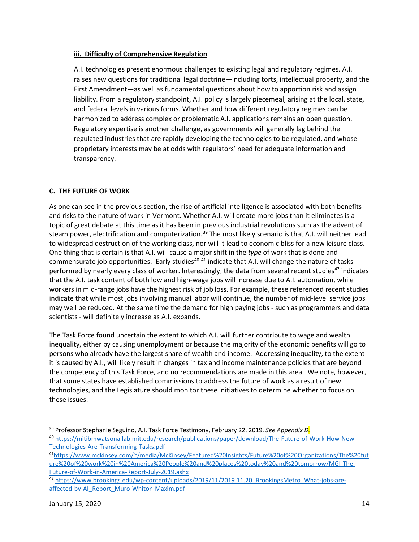### **iii. Difficulty of Comprehensive Regulation**

A.I. technologies present enormous challenges to existing legal and regulatory regimes. A.I. raises new questions for traditional legal doctrine—including torts, intellectual property, and the First Amendment—as well as fundamental questions about how to apportion risk and assign liability. From a regulatory standpoint, A.I. policy is largely piecemeal, arising at the local, state, and federal levels in various forms. Whether and how different regulatory regimes can be harmonized to address complex or problematic A.I. applications remains an open question. Regulatory expertise is another challenge, as governments will generally lag behind the regulated industries that are rapidly developing the technologies to be regulated, and whose proprietary interests may be at odds with regulators' need for adequate information and transparency.

# **C. THE FUTURE OF WORK**

As one can see in the previous section, the rise of artificial intelligence is associated with both benefits and risks to the nature of work in Vermont. Whether A.I. will create more jobs than it eliminates is a topic of great debate at this time as it has been in previous industrial revolutions such as the advent of steam power, electrification and computerization.<sup>[39](#page-13-0)</sup> The most likely scenario is that A.I. will neither lead to widespread destruction of the working class, nor will it lead to economic bliss for a new leisure class. One thing that is certain is that A.I. will cause a major shift in the *type* of work that is done and commensurate job opportunities. Early studies<sup>[40](#page-13-1) [41](#page-13-2)</sup> indicate that A.I. will change the nature of tasks performed by nearly every class of worker. Interestingly, the data from several recent studies<sup>[42](#page-13-3)</sup> indicates that the A.I. task content of both low and high-wage jobs will increase due to A.I. automation, while workers in mid-range jobs have the highest risk of job loss. For example, these referenced recent studies indicate that while most jobs involving manual labor will continue, the number of mid-level service jobs may well be reduced. At the same time the demand for high paying jobs - such as programmers and data scientists - will definitely increase as A.I. expands.

The Task Force found uncertain the extent to which A.I. will further contribute to wage and wealth inequality, either by causing unemployment or because the majority of the economic benefits will go to persons who already have the largest share of wealth and income. Addressing inequality, to the extent it is caused by A.I., will likely result in changes in tax and income maintenance policies that are beyond the competency of this Task Force, and no recommendations are made in this area. We note, however, that some states have established commissions to address the future of work as a result of new technologies, and the Legislature should monitor these initiatives to determine whether to focus on these issues.

<span id="page-13-0"></span><sup>39</sup> Professor Stephanie Seguino, A.I. Task Force Testimony, February 22, 2019. *See Appendix D.*

<span id="page-13-1"></span><sup>40</sup> [https://mitibmwatsonailab.mit.edu/research/publications/paper/download/The-Future-of-Work-How-New-](https://mitibmwatsonailab.mit.edu/research/publications/paper/download/The-Future-of-Work-How-New-Technologies-Are-Transforming-Tasks.pdf)[Technologies-Are-Transforming-Tasks.pdf](https://mitibmwatsonailab.mit.edu/research/publications/paper/download/The-Future-of-Work-How-New-Technologies-Are-Transforming-Tasks.pdf)

<span id="page-13-2"></span><sup>4</sup>[1https://www.mckinsey.com/~/media/McKinsey/Featured%20Insights/Future%20of%20Organizations/The%20fut](https://www.mckinsey.com/%7E/media/McKinsey/Featured%20Insights/Future%20of%20Organizations/The%20future%20of%20work%20in%20America%20People%20and%20places%20today%20and%20tomorrow/MGI-The-Future-of-Work-in-America-Report-July-2019.ashx) [ure%20of%20work%20in%20America%20People%20and%20places%20today%20and%20tomorrow/MGI-The-](https://www.mckinsey.com/%7E/media/McKinsey/Featured%20Insights/Future%20of%20Organizations/The%20future%20of%20work%20in%20America%20People%20and%20places%20today%20and%20tomorrow/MGI-The-Future-of-Work-in-America-Report-July-2019.ashx)[Future-of-Work-in-America-Report-July-2019.ashx](https://www.mckinsey.com/%7E/media/McKinsey/Featured%20Insights/Future%20of%20Organizations/The%20future%20of%20work%20in%20America%20People%20and%20places%20today%20and%20tomorrow/MGI-The-Future-of-Work-in-America-Report-July-2019.ashx)

<span id="page-13-3"></span><sup>42</sup> https://www.brookings.edu/wp-content/uploads/2019/11/2019.11.20 BrookingsMetro What-jobs-are[affected-by-AI\\_Report\\_Muro-Whiton-Maxim.pdf](https://www.brookings.edu/wp-content/uploads/2019/11/2019.11.20_BrookingsMetro_What-jobs-are-affected-by-AI_Report_Muro-Whiton-Maxim.pdf)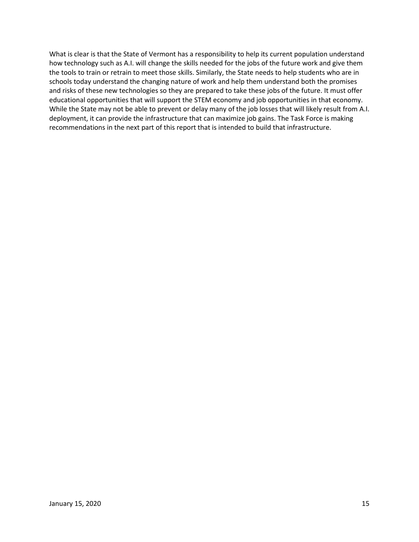What is clear is that the State of Vermont has a responsibility to help its current population understand how technology such as A.I. will change the skills needed for the jobs of the future work and give them the tools to train or retrain to meet those skills. Similarly, the State needs to help students who are in schools today understand the changing nature of work and help them understand both the promises and risks of these new technologies so they are prepared to take these jobs of the future. It must offer educational opportunities that will support the STEM economy and job opportunities in that economy. While the State may not be able to prevent or delay many of the job losses that will likely result from A.I. deployment, it can provide the infrastructure that can maximize job gains. The Task Force is making recommendations in the next part of this report that is intended to build that infrastructure.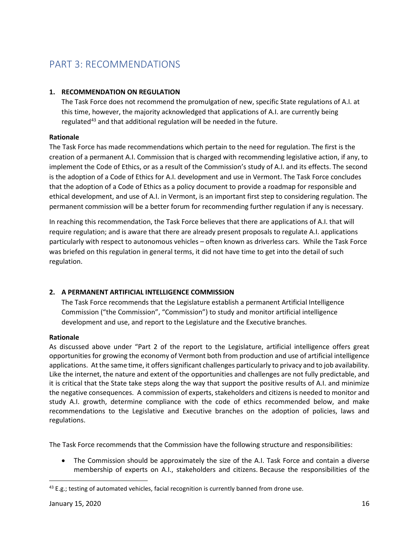# PART 3: RECOMMENDATIONS

# **1. RECOMMENDATION ON REGULATION**

The Task Force does not recommend the promulgation of new, specific State regulations of A.I. at this time, however, the majority acknowledged that applications of A.I. are currently being regulated<sup>[43](#page-15-0)</sup> and that additional regulation will be needed in the future.

## **Rationale**

The Task Force has made recommendations which pertain to the need for regulation. The first is the creation of a permanent A.I. Commission that is charged with recommending legislative action, if any, to implement the Code of Ethics, or as a result of the Commission's study of A.I. and its effects. The second is the adoption of a Code of Ethics for A.I. development and use in Vermont. The Task Force concludes that the adoption of a Code of Ethics as a policy document to provide a roadmap for responsible and ethical development, and use of A.I. in Vermont, is an important first step to considering regulation. The permanent commission will be a better forum for recommending further regulation if any is necessary.

In reaching this recommendation, the Task Force believes that there are applications of A.I. that will require regulation; and is aware that there are already present proposals to regulate A.I. applications particularly with respect to autonomous vehicles – often known as driverless cars. While the Task Force was briefed on this regulation in general terms, it did not have time to get into the detail of such regulation.

# **2. A PERMANENT ARTIFICIAL INTELLIGENCE COMMISSION**

The Task Force recommends that the Legislature establish a permanent Artificial Intelligence Commission ("the Commission", "Commission") to study and monitor artificial intelligence development and use, and report to the Legislature and the Executive branches.

# **Rationale**

As discussed above under "Part 2 of the report to the Legislature, artificial intelligence offers great opportunities for growing the economy of Vermont both from production and use of artificial intelligence applications. At the same time, it offers significant challenges particularly to privacy and to job availability. Like the internet, the nature and extent of the opportunities and challenges are not fully predictable, and it is critical that the State take steps along the way that support the positive results of A.I. and minimize the negative consequences. A commission of experts, stakeholders and citizens is needed to monitor and study A.I. growth, determine compliance with the code of ethics recommended below, and make recommendations to the Legislative and Executive branches on the adoption of policies, laws and regulations.

The Task Force recommends that the Commission have the following structure and responsibilities:

• The Commission should be approximately the size of the A.I. Task Force and contain a diverse membership of experts on A.I., stakeholders and citizens. Because the responsibilities of the

<span id="page-15-0"></span> $43$  E.g.; testing of automated vehicles, facial recognition is currently banned from drone use.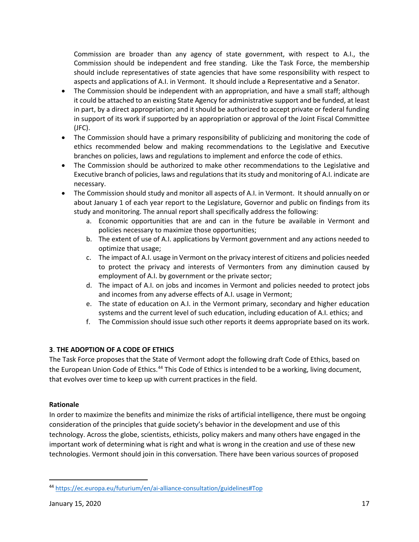Commission are broader than any agency of state government, with respect to A.I., the Commission should be independent and free standing. Like the Task Force, the membership should include representatives of state agencies that have some responsibility with respect to aspects and applications of A.I. in Vermont. It should include a Representative and a Senator.

- The Commission should be independent with an appropriation, and have a small staff; although it could be attached to an existing State Agency for administrative support and be funded, at least in part, by a direct appropriation; and it should be authorized to accept private or federal funding in support of its work if supported by an appropriation or approval of the Joint Fiscal Committee (JFC).
- The Commission should have a primary responsibility of publicizing and monitoring the code of ethics recommended below and making recommendations to the Legislative and Executive branches on policies, laws and regulations to implement and enforce the code of ethics.
- The Commission should be authorized to make other recommendations to the Legislative and Executive branch of policies, laws and regulations that its study and monitoring of A.I. indicate are necessary.
- The Commission should study and monitor all aspects of A.I. in Vermont. It should annually on or about January 1 of each year report to the Legislature, Governor and public on findings from its study and monitoring. The annual report shall specifically address the following:
	- a. Economic opportunities that are and can in the future be available in Vermont and policies necessary to maximize those opportunities;
	- b. The extent of use of A.I. applications by Vermont government and any actions needed to optimize that usage;
	- c. The impact of A.I. usage in Vermont on the privacy interest of citizens and policies needed to protect the privacy and interests of Vermonters from any diminution caused by employment of A.I. by government or the private sector;
	- d. The impact of A.I. on jobs and incomes in Vermont and policies needed to protect jobs and incomes from any adverse effects of A.I. usage in Vermont;
	- e. The state of education on A.I. in the Vermont primary, secondary and higher education systems and the current level of such education, including education of A.I. ethics; and
	- f. The Commission should issue such other reports it deems appropriate based on its work.

# **3**. **THE ADOPTION OF A CODE OF ETHICS**

The Task Force proposes that the State of Vermont adopt the following draft Code of Ethics, based on the European Union Code of Ethics.<sup>[44](#page-16-0)</sup> This Code of Ethics is intended to be a working, living document, that evolves over time to keep up with current practices in the field.

# **Rationale**

In order to maximize the benefits and minimize the risks of artificial intelligence, there must be ongoing consideration of the principles that guide society's behavior in the development and use of this technology. Across the globe, scientists, ethicists, policy makers and many others have engaged in the important work of determining what is right and what is wrong in the creation and use of these new technologies. Vermont should join in this conversation. There have been various sources of proposed

<span id="page-16-0"></span><sup>44</sup> <https://ec.europa.eu/futurium/en/ai-alliance-consultation/guidelines#Top>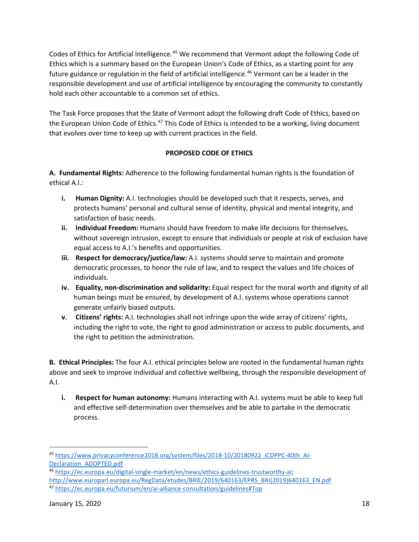Codes of Ethics for Artificial Intelligence.<sup>45</sup> We recommend that Vermont adopt the following Code of Ethics which is a summary based on the European Union's Code of Ethics, as a starting point for any future guidance or regulation in the field of artificial intelligence.<sup>[46](#page-17-1)</sup> Vermont can be a leader in the responsible development and use of artificial intelligence by encouraging the community to constantly hold each other accountable to a common set of ethics.

The Task Force proposes that the State of Vermont adopt the following draft Code of Ethics, based on the European Union Code of Ethics.<sup>[47](#page-17-2)</sup> This Code of Ethics is intended to be a working, living document that evolves over time to keep up with current practices in the field.

# **PROPOSED CODE OF ETHICS**

**A. Fundamental Rights:** Adherence to the following fundamental human rights is the foundation of ethical A.I.:

- **i. Human Dignity:** A.I. technologies should be developed such that it respects, serves, and protects humans' personal and cultural sense of identity, physical and mental integrity, and satisfaction of basic needs.
- **ii. Individual Freedom:** Humans should have freedom to make life decisions for themselves, without sovereign intrusion, except to ensure that individuals or people at risk of exclusion have equal access to A.I.'s benefits and opportunities.
- **iii. Respect for democracy/justice/law:** A.I. systems should serve to maintain and promote democratic processes, to honor the rule of law, and to respect the values and life choices of individuals.
- **iv. Equality, non-discrimination and solidarity:** Equal respect for the moral worth and dignity of all human beings must be ensured, by development of A.I. systems whose operations cannot generate unfairly biased outputs.
- **v. Citizens' rights:** A.I. technologies shall not infringe upon the wide array of citizens' rights, including the right to vote, the right to good administration or access to public documents, and the right to petition the administration.

**B. Ethical Principles:** The four A.I. ethical principles below are rooted in the fundamental human rights above and seek to improve individual and collective wellbeing, through the responsible development of A.I.

**i. Respect for human autonomy:** Humans interacting with A.I. systems must be able to keep full and effective self-determination over themselves and be able to partake in the democratic process.

<span id="page-17-0"></span><sup>45</sup> [https://www.privacyconference2018.org/system/files/2018-10/20180922\\_ICDPPC-40th\\_AI-](https://www.privacyconference2018.org/system/files/2018-10/20180922_ICDPPC-40th_AI-Declaration_ADOPTED.pdf)[Declaration\\_ADOPTED.pdf](https://www.privacyconference2018.org/system/files/2018-10/20180922_ICDPPC-40th_AI-Declaration_ADOPTED.pdf)

<span id="page-17-1"></span><sup>46</sup> [https://ec.europa.eu/digital-single-market/en/news/ethics-guidelines-trustworthy-ai;](https://ec.europa.eu/digital-single-market/en/news/ethics-guidelines-trustworthy-ai)  [http://www.europarl.europa.eu/RegData/etudes/BRIE/2019/640163/EPRS\\_BRI\(2019\)640163\\_EN.pdf](http://www.europarl.europa.eu/RegData/etudes/BRIE/2019/640163/EPRS_BRI(2019)640163_EN.pdf)

<span id="page-17-2"></span><sup>47</sup> <https://ec.europa.eu/futurium/en/ai-alliance-consultation/guidelines#Top>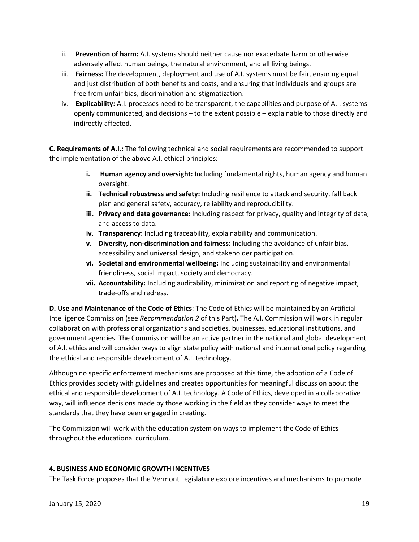- ii. **Prevention of harm:** A.I. systems should neither cause nor exacerbate harm or otherwise adversely affect human beings, the natural environment, and all living beings.
- iii. **Fairness:** The development, deployment and use of A.I. systems must be fair, ensuring equal and just distribution of both benefits and costs, and ensuring that individuals and groups are free from unfair bias, discrimination and stigmatization.
- iv. **Explicability:** A.I. processes need to be transparent, the capabilities and purpose of A.I. systems openly communicated, and decisions – to the extent possible – explainable to those directly and indirectly affected.

**C. Requirements of A.I.:** The following technical and social requirements are recommended to support the implementation of the above A.I. ethical principles:

- **i. Human agency and oversight:** Including fundamental rights, human agency and human oversight.
- **ii. Technical robustness and safety:** Including resilience to attack and security, fall back plan and general safety, accuracy, reliability and reproducibility.
- **iii. Privacy and data governance**: Including respect for privacy, quality and integrity of data, and access to data.
- **iv. Transparency:** Including traceability, explainability and communication.
- **v. Diversity, non-discrimination and fairness**: Including the avoidance of unfair bias, accessibility and universal design, and stakeholder participation.
- **vi. Societal and environmental wellbeing:** Including sustainability and environmental friendliness, social impact, society and democracy.
- **vii. Accountability:** Including auditability, minimization and reporting of negative impact, trade-offs and redress.

**D. Use and Maintenance of the Code of Ethics**: The Code of Ethics will be maintained by an Artificial Intelligence Commission (see *Recommendation 2* of this Part)**.** The A.I. Commission will work in regular collaboration with professional organizations and societies, businesses, educational institutions, and government agencies. The Commission will be an active partner in the national and global development of A.I. ethics and will consider ways to align state policy with national and international policy regarding the ethical and responsible development of A.I. technology.

Although no specific enforcement mechanisms are proposed at this time, the adoption of a Code of Ethics provides society with guidelines and creates opportunities for meaningful discussion about the ethical and responsible development of A.I. technology. A Code of Ethics, developed in a collaborative way, will influence decisions made by those working in the field as they consider ways to meet the standards that they have been engaged in creating.

The Commission will work with the education system on ways to implement the Code of Ethics throughout the educational curriculum.

# **4. BUSINESS AND ECONOMIC GROWTH INCENTIVES**

The Task Force proposes that the Vermont Legislature explore incentives and mechanisms to promote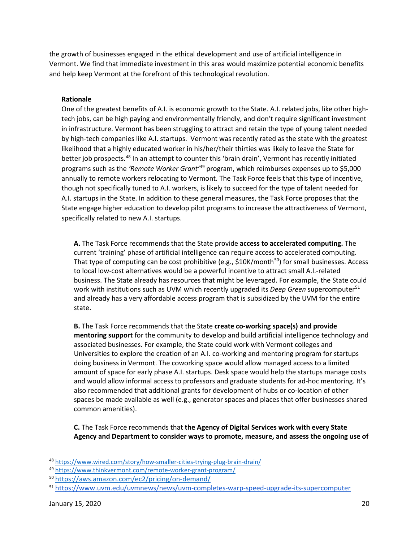the growth of businesses engaged in the ethical development and use of artificial intelligence in Vermont. We find that immediate investment in this area would maximize potential economic benefits and help keep Vermont at the forefront of this technological revolution.

### **Rationale**

One of the greatest benefits of A.I. is economic growth to the State. A.I. related jobs, like other hightech jobs, can be high paying and environmentally friendly, and don't require significant investment in infrastructure. Vermont has been struggling to attract and retain the type of young talent needed by high-tech companies like A.I. startups. Vermont was recently rated as the state with the greatest likelihood that a highly educated worker in his/her/their thirties was likely to leave the State for better job prospects.<sup>[48](#page-19-0)</sup> In an attempt to counter this 'brain drain', Vermont has recently initiated programs such as the *'Remote Worker Grant'*[49](#page-19-1) program, which reimburses expenses up to \$5,000 annually to remote workers relocating to Vermont. The Task Force feels that this type of incentive, though not specifically tuned to A.I. workers, is likely to succeed for the type of talent needed for A.I. startups in the State. In addition to these general measures, the Task Force proposes that the State engage higher education to develop pilot programs to increase the attractiveness of Vermont, specifically related to new A.I. startups.

**A.** The Task Force recommends that the State provide **access to accelerated computing.** The current 'training' phase of artificial intelligence can require access to accelerated computing. That type of computing can be cost prohibitive (e.g.,  $$10K/m$ onth<sup>50</sup>) for small businesses. Access to local low-cost alternatives would be a powerful incentive to attract small A.I.-related business. The State already has resources that might be leveraged. For example, the State could work with institutions such as UVM which recently upgraded its *Deep Green* supercomputer<sup>[51](#page-19-3)</sup> and already has a very affordable access program that is subsidized by the UVM for the entire state.

**B.** The Task Force recommends that the State **create co-working space(s) and provide mentoring support** for the community to develop and build artificial intelligence technology and associated businesses. For example, the State could work with Vermont colleges and Universities to explore the creation of an A.I. co-working and mentoring program for startups doing business in Vermont. The coworking space would allow managed access to a limited amount of space for early phase A.I. startups. Desk space would help the startups manage costs and would allow informal access to professors and graduate students for ad-hoc mentoring. It's also recommended that additional grants for development of hubs or co-location of other spaces be made available as well (e.g., generator spaces and places that offer businesses shared common amenities).

**C.** The Task Force recommends that **the Agency of Digital Services work with every State Agency and Department to consider ways to promote, measure, and assess the ongoing use of** 

<span id="page-19-0"></span><sup>48</sup> <https://www.wired.com/story/how-smaller-cities-trying-plug-brain-drain/>

<span id="page-19-1"></span><sup>49</sup> <https://www.thinkvermont.com/remote-worker-grant-program/>

<span id="page-19-2"></span><sup>50</sup> <https://aws.amazon.com/ec2/pricing/on-demand/>

<span id="page-19-3"></span><sup>51</sup> <https://www.uvm.edu/uvmnews/news/uvm-completes-warp-speed-upgrade-its-supercomputer>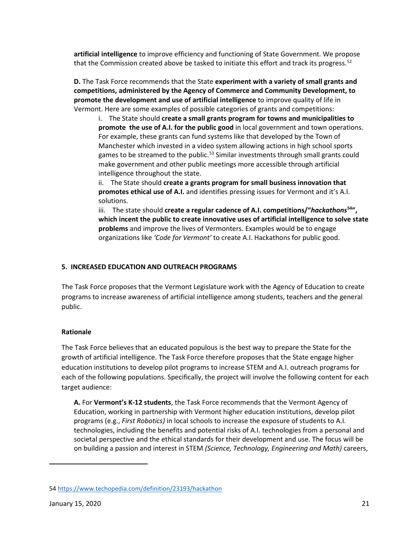**artificial intelligence** to improve efficiency and functioning of State Government. We propose that the Commission created above be tasked to initiate this effort and track its progress.<sup>[52](#page-20-0)</sup>

**D.** The Task Force recommends that the State **experiment with a variety of small grants and competitions, administered by the Agency of Commerce and Community Development, to promote the development and use of artificial intelligence** to improve quality of life in Vermont. Here are some examples of possible categories of grants and competitions:

i. The State should **create a small grants program for towns and municipalities to promote the use of A.I. for the public good** in local government and town operations. For example, these grants can fund systems like that developed by the Town of Manchester which invested in a video system allowing actions in high school sports games to be streamed to the public.<sup>[53](#page-20-1)</sup> Similar investments through small grants could make government and other public meetings more accessible through artificial intelligence throughout the state.

ii. The State should **create a grants program for small business innovation that promotes ethical use of A.I.** and identifies pressing issues for Vermont and it's A.I. solutions.

iii. The state should **create a regular cadence of A.I. competitions/"***hackathons***[54"](#page-20-2), which incent the public to create innovative uses of artificial intelligence to solve state problems** and improve the lives of Vermonters. Examples would be to engage organizations like *'Code for Vermont'* to create A.I. Hackathons for public good.

## **5. INCREASED EDUCATION AND OUTREACH PROGRAMS**

The Task Force proposes that the Vermont Legislature work with the Agency of Education to create programs to increase awareness of artificial intelligence among students, teachers and the general public.

### **Rationale**

The Task Force believes that an educated populous is the best way to prepare the State for the growth of artificial intelligence. The Task Force therefore proposes that the State engage higher education institutions to develop pilot programs to increase STEM and A.I. outreach programs for each of the following populations. Specifically, the project will involve the following content for each target audience:

**A.** For **Vermont's K-12 students**, the Task Force recommends that the Vermont Agency of Education, working in partnership with Vermont higher education institutions, develop pilot programs (e.g., *First Robotics)* in local schools to increase the exposure of students to A.I. technologies, including the benefits and potential risks of A.I. technologies from a personal and societal perspective and the ethical standards for their development and use. The focus will be on building a passion and interest in STEM *(Science, Technology, Engineering and Math)* careers,

<span id="page-20-2"></span><span id="page-20-1"></span><span id="page-20-0"></span><sup>54</sup> <https://www.techopedia.com/definition/23193/hackathon>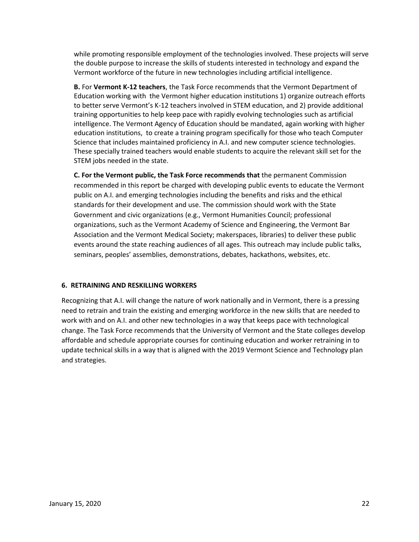while promoting responsible employment of the technologies involved. These projects will serve the double purpose to increase the skills of students interested in technology and expand the Vermont workforce of the future in new technologies including artificial intelligence.

**B.** For **Vermont K-12 teachers**, the Task Force recommends that the Vermont Department of Education working with the Vermont higher education institutions 1) organize outreach efforts to better serve Vermont's K-12 teachers involved in STEM education, and 2) provide additional training opportunities to help keep pace with rapidly evolving technologies such as artificial intelligence. The Vermont Agency of Education should be mandated, again working with higher education institutions, to create a training program specifically for those who teach Computer Science that includes maintained proficiency in A.I. and new computer science technologies. These specially trained teachers would enable students to acquire the relevant skill set for the STEM jobs needed in the state.

**C. For the Vermont public, the Task Force recommends that** the permanent Commission recommended in this report be charged with developing public events to educate the Vermont public on A.I. and emerging technologies including the benefits and risks and the ethical standards for their development and use. The commission should work with the State Government and civic organizations (e.g., Vermont Humanities Council; professional organizations, such as the Vermont Academy of Science and Engineering, the Vermont Bar Association and the Vermont Medical Society; makerspaces, libraries) to deliver these public events around the state reaching audiences of all ages. This outreach may include public talks, seminars, peoples' assemblies, demonstrations, debates, hackathons, websites, etc.

### **6. RETRAINING AND RESKILLING WORKERS**

Recognizing that A.I. will change the nature of work nationally and in Vermont, there is a pressing need to retrain and train the existing and emerging workforce in the new skills that are needed to work with and on A.I. and other new technologies in a way that keeps pace with technological change. The Task Force recommends that the University of Vermont and the State colleges develop affordable and schedule appropriate courses for continuing education and worker retraining in to update technical skills in a way that is aligned with the 2019 Vermont Science and Technology plan and strategies.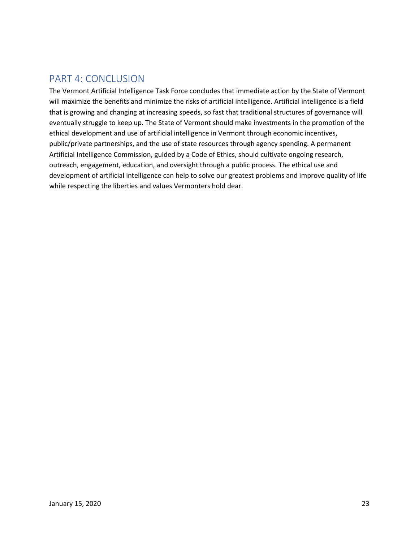# PART 4: CONCLUSION

The Vermont Artificial Intelligence Task Force concludes that immediate action by the State of Vermont will maximize the benefits and minimize the risks of artificial intelligence. Artificial intelligence is a field that is growing and changing at increasing speeds, so fast that traditional structures of governance will eventually struggle to keep up. The State of Vermont should make investments in the promotion of the ethical development and use of artificial intelligence in Vermont through economic incentives, public/private partnerships, and the use of state resources through agency spending. A permanent Artificial Intelligence Commission, guided by a Code of Ethics, should cultivate ongoing research, outreach, engagement, education, and oversight through a public process. The ethical use and development of artificial intelligence can help to solve our greatest problems and improve quality of life while respecting the liberties and values Vermonters hold dear.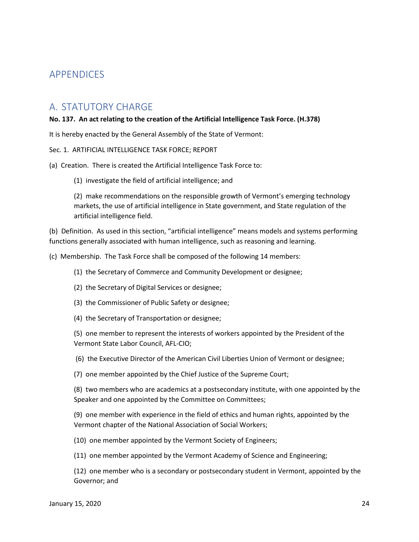# APPENDICES

# A. STATUTORY CHARGE

### **No. 137. An act relating to the creation of the Artificial Intelligence Task Force. (H.378)**

It is hereby enacted by the General Assembly of the State of Vermont:

### Sec. 1. ARTIFICIAL INTELLIGENCE TASK FORCE; REPORT

### (a) Creation. There is created the Artificial Intelligence Task Force to:

(1) investigate the field of artificial intelligence; and

(2) make recommendations on the responsible growth of Vermont's emerging technology markets, the use of artificial intelligence in State government, and State regulation of the artificial intelligence field.

(b) Definition. As used in this section, "artificial intelligence" means models and systems performing functions generally associated with human intelligence, such as reasoning and learning.

(c) Membership. The Task Force shall be composed of the following 14 members:

- (1) the Secretary of Commerce and Community Development or designee;
- (2) the Secretary of Digital Services or designee;
- (3) the Commissioner of Public Safety or designee;
- (4) the Secretary of Transportation or designee;

(5) one member to represent the interests of workers appointed by the President of the Vermont State Labor Council, AFL-CIO;

(6) the Executive Director of the American Civil Liberties Union of Vermont or designee;

(7) one member appointed by the Chief Justice of the Supreme Court;

(8) two members who are academics at a postsecondary institute, with one appointed by the Speaker and one appointed by the Committee on Committees;

(9) one member with experience in the field of ethics and human rights, appointed by the Vermont chapter of the National Association of Social Workers;

(10) one member appointed by the Vermont Society of Engineers;

(11) one member appointed by the Vermont Academy of Science and Engineering;

(12) one member who is a secondary or postsecondary student in Vermont, appointed by the Governor; and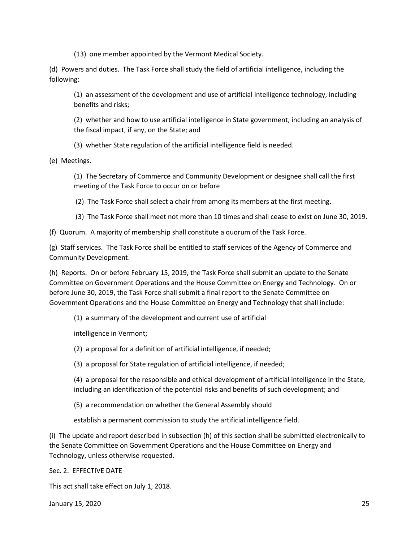(13) one member appointed by the Vermont Medical Society.

(d) Powers and duties. The Task Force shall study the field of artificial intelligence, including the following:

(1) an assessment of the development and use of artificial intelligence technology, including benefits and risks;

(2) whether and how to use artificial intelligence in State government, including an analysis of the fiscal impact, if any, on the State; and

(3) whether State regulation of the artificial intelligence field is needed.

(e) Meetings.

(1) The Secretary of Commerce and Community Development or designee shall call the first meeting of the Task Force to occur on or before

(2) The Task Force shall select a chair from among its members at the first meeting.

(3) The Task Force shall meet not more than 10 times and shall cease to exist on June 30, 2019.

(f) Quorum. A majority of membership shall constitute a quorum of the Task Force.

(g) Staff services. The Task Force shall be entitled to staff services of the Agency of Commerce and Community Development.

(h) Reports. On or before February 15, 2019, the Task Force shall submit an update to the Senate Committee on Government Operations and the House Committee on Energy and Technology. On or before June 30, 2019, the Task Force shall submit a final report to the Senate Committee on Government Operations and the House Committee on Energy and Technology that shall include:

(1) a summary of the development and current use of artificial

intelligence in Vermont;

(2) a proposal for a definition of artificial intelligence, if needed;

(3) a proposal for State regulation of artificial intelligence, if needed;

(4) a proposal for the responsible and ethical development of artificial intelligence in the State, including an identification of the potential risks and benefits of such development; and

(5) a recommendation on whether the General Assembly should

establish a permanent commission to study the artificial intelligence field.

(i) The update and report described in subsection (h) of this section shall be submitted electronically to the Senate Committee on Government Operations and the House Committee on Energy and Technology, unless otherwise requested.

Sec. 2. EFFECTIVE DATE

This act shall take effect on July 1, 2018.

January 15, 2020 25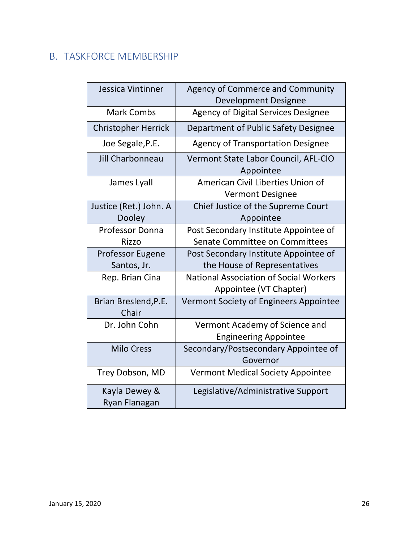# B. TASKFORCE MEMBERSHIP

| Jessica Vintinner                      | <b>Agency of Commerce and Community</b><br><b>Development Designee</b>  |
|----------------------------------------|-------------------------------------------------------------------------|
| <b>Mark Combs</b>                      | Agency of Digital Services Designee                                     |
| <b>Christopher Herrick</b>             | Department of Public Safety Designee                                    |
| Joe Segale, P.E.                       | <b>Agency of Transportation Designee</b>                                |
| Jill Charbonneau                       | Vermont State Labor Council, AFL-CIO<br>Appointee                       |
| James Lyall                            | American Civil Liberties Union of<br><b>Vermont Designee</b>            |
| Justice (Ret.) John. A<br>Dooley       | Chief Justice of the Supreme Court<br>Appointee                         |
| Professor Donna<br>Rizzo               | Post Secondary Institute Appointee of<br>Senate Committee on Committees |
| <b>Professor Eugene</b><br>Santos, Jr. | Post Secondary Institute Appointee of<br>the House of Representatives   |
| Rep. Brian Cina                        | <b>National Association of Social Workers</b><br>Appointee (VT Chapter) |
| Brian Breslend, P.E.<br>Chair          | Vermont Society of Engineers Appointee                                  |
| Dr. John Cohn                          | Vermont Academy of Science and<br><b>Engineering Appointee</b>          |
| <b>Milo Cress</b>                      | Secondary/Postsecondary Appointee of<br>Governor                        |
| Trey Dobson, MD                        | <b>Vermont Medical Society Appointee</b>                                |
| Kayla Dewey &<br>Ryan Flanagan         | Legislative/Administrative Support                                      |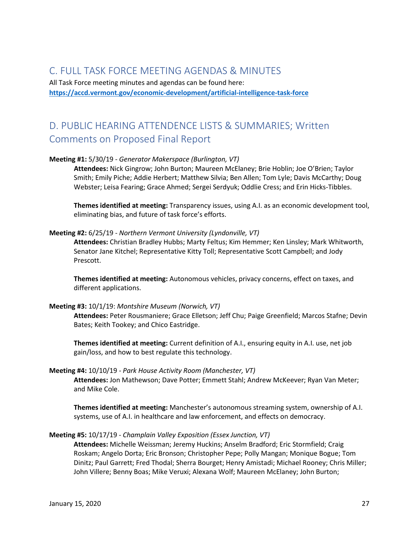# C. FULL TASK FORCE MEETING AGENDAS & MINUTES

All Task Force meeting minutes and agendas can be found here: **<https://accd.vermont.gov/economic-development/artificial-intelligence-task-force>**

# D. PUBLIC HEARING ATTENDENCE LISTS & SUMMARIES; Written Comments on Proposed Final Report

### **Meeting #1:** 5/30/19 - *Generator Makerspace (Burlington, VT)*

**Attendees:** Nick Gingrow; John Burton; Maureen McElaney; Brie Hoblin; Joe O'Brien; Taylor Smith; Emily Piche; Addie Herbert; Matthew Silvia; Ben Allen; Tom Lyle; Davis McCarthy; Doug Webster; Leisa Fearing; Grace Ahmed; Sergei Serdyuk; Oddlie Cress; and Erin Hicks-Tibbles.

**Themes identified at meeting:** Transparency issues, using A.I. as an economic development tool, eliminating bias, and future of task force's efforts.

### **Meeting #2:** 6/25/19 - *Northern Vermont University (Lyndonville, VT)*

**Attendees:** Christian Bradley Hubbs; Marty Feltus; Kim Hemmer; Ken Linsley; Mark Whitworth, Senator Jane Kitchel; Representative Kitty Toll; Representative Scott Campbell; and Jody Prescott.

**Themes identified at meeting:** Autonomous vehicles, privacy concerns, effect on taxes, and different applications.

### **Meeting #3:** 10/1/19: *Montshire Museum (Norwich, VT)*

**Attendees:** Peter Rousmaniere; Grace Elletson; Jeff Chu; Paige Greenfield; Marcos Stafne; Devin Bates; Keith Tookey; and Chico Eastridge.

**Themes identified at meeting:** Current definition of A.I., ensuring equity in A.I. use, net job gain/loss, and how to best regulate this technology.

### **Meeting #4:** 10/10/19 - *Park House Activity Room (Manchester, VT)*

**Attendees:** Jon Mathewson; Dave Potter; Emmett Stahl; Andrew McKeever; Ryan Van Meter; and Mike Cole.

**Themes identified at meeting:** Manchester's autonomous streaming system, ownership of A.I. systems, use of A.I. in healthcare and law enforcement, and effects on democracy.

### **Meeting #5:** 10/17/19 - *Champlain Valley Exposition (Essex Junction, VT)*

**Attendees:** Michelle Weissman; Jeremy Huckins; Anselm Bradford; Eric Stormfield; Craig Roskam; Angelo Dorta; Eric Bronson; Christopher Pepe; Polly Mangan; Monique Bogue; Tom Dinitz; Paul Garrett; Fred Thodal; Sherra Bourget; Henry Amistadi; Michael Rooney; Chris Miller; John Villere; Benny Boas; Mike Veruxi; Alexana Wolf; Maureen McElaney; John Burton;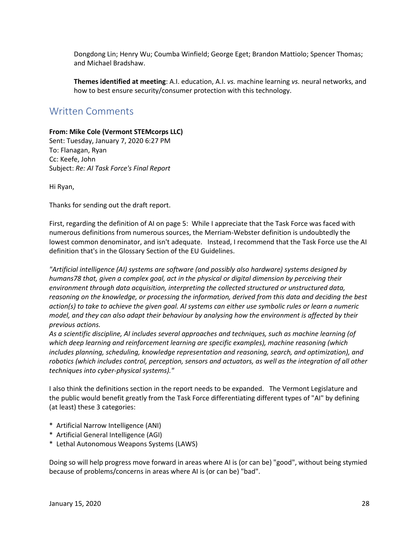Dongdong Lin; Henry Wu; Coumba Winfield; George Eget; Brandon Mattiolo; Spencer Thomas; and Michael Bradshaw.

**Themes identified at meeting**: A.I. education, A.I. *vs.* machine learning *vs.* neural networks, and how to best ensure security/consumer protection with this technology.

# Written Comments

### **From: Mike Cole (Vermont STEMcorps LLC)**

Sent: Tuesday, January 7, 2020 6:27 PM To: Flanagan, Ryan Cc: Keefe, John Subject: *Re: AI Task Force's Final Report*

Hi Ryan,

Thanks for sending out the draft report.

First, regarding the definition of AI on page 5: While I appreciate that the Task Force was faced with numerous definitions from numerous sources, the Merriam-Webster definition is undoubtedly the lowest common denominator, and isn't adequate. Instead, I recommend that the Task Force use the AI definition that's in the Glossary Section of the EU Guidelines.

*"Artificial intelligence (AI) systems are software (and possibly also hardware) systems designed by humans78 that, given a complex goal, act in the physical or digital dimension by perceiving their environment through data acquisition, interpreting the collected structured or unstructured data, reasoning on the knowledge, or processing the information, derived from this data and deciding the best action(s) to take to achieve the given goal. AI systems can either use symbolic rules or learn a numeric model, and they can also adapt their behaviour by analysing how the environment is affected by their previous actions.*

*As a scientific discipline, AI includes several approaches and techniques, such as machine learning (of which deep learning and reinforcement learning are specific examples), machine reasoning (which includes planning, scheduling, knowledge representation and reasoning, search, and optimization), and robotics (which includes control, perception, sensors and actuators, as well as the integration of all other techniques into cyber-physical systems)."*

I also think the definitions section in the report needs to be expanded. The Vermont Legislature and the public would benefit greatly from the Task Force differentiating different types of "AI" by defining (at least) these 3 categories:

- \* Artificial Narrow Intelligence (ANI)
- \* Artificial General Intelligence (AGI)
- \* Lethal Autonomous Weapons Systems (LAWS)

Doing so will help progress move forward in areas where AI is (or can be) "good", without being stymied because of problems/concerns in areas where AI is (or can be) "bad".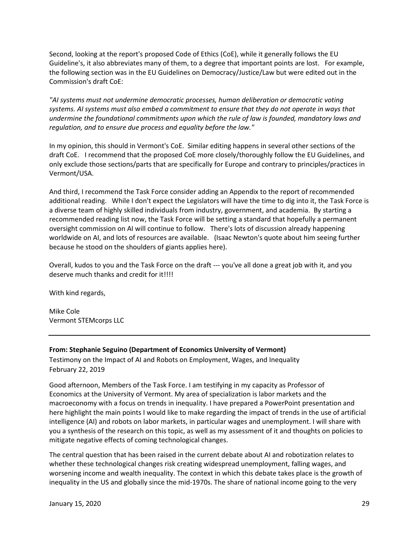Second, looking at the report's proposed Code of Ethics (CoE), while it generally follows the EU Guideline's, it also abbreviates many of them, to a degree that important points are lost. For example, the following section was in the EU Guidelines on Democracy/Justice/Law but were edited out in the Commission's draft CoE:

*"AI systems must not undermine democratic processes, human deliberation or democratic voting systems. AI systems must also embed a commitment to ensure that they do not operate in ways that undermine the foundational commitments upon which the rule of law is founded, mandatory laws and regulation, and to ensure due process and equality before the law."*

In my opinion, this should in Vermont's CoE. Similar editing happens in several other sections of the draft CoE. I recommend that the proposed CoE more closely/thoroughly follow the EU Guidelines, and only exclude those sections/parts that are specifically for Europe and contrary to principles/practices in Vermont/USA.

And third, I recommend the Task Force consider adding an Appendix to the report of recommended additional reading. While I don't expect the Legislators will have the time to dig into it, the Task Force is a diverse team of highly skilled individuals from industry, government, and academia. By starting a recommended reading list now, the Task Force will be setting a standard that hopefully a permanent oversight commission on AI will continue to follow. There's lots of discussion already happening worldwide on AI, and lots of resources are available. (Isaac Newton's quote about him seeing further because he stood on the shoulders of giants applies here).

Overall, kudos to you and the Task Force on the draft --- you've all done a great job with it, and you deserve much thanks and credit for it!!!!

With kind regards,

Mike Cole Vermont STEMcorps LLC

### **From: Stephanie Seguino (Department of Economics University of Vermont)**

Testimony on the Impact of AI and Robots on Employment, Wages, and Inequality February 22, 2019

Good afternoon, Members of the Task Force. I am testifying in my capacity as Professor of Economics at the University of Vermont. My area of specialization is labor markets and the macroeconomy with a focus on trends in inequality. I have prepared a PowerPoint presentation and here highlight the main points I would like to make regarding the impact of trends in the use of artificial intelligence (AI) and robots on labor markets, in particular wages and unemployment. I will share with you a synthesis of the research on this topic, as well as my assessment of it and thoughts on policies to mitigate negative effects of coming technological changes.

The central question that has been raised in the current debate about AI and robotization relates to whether these technological changes risk creating widespread unemployment, falling wages, and worsening income and wealth inequality. The context in which this debate takes place is the growth of inequality in the US and globally since the mid-1970s. The share of national income going to the very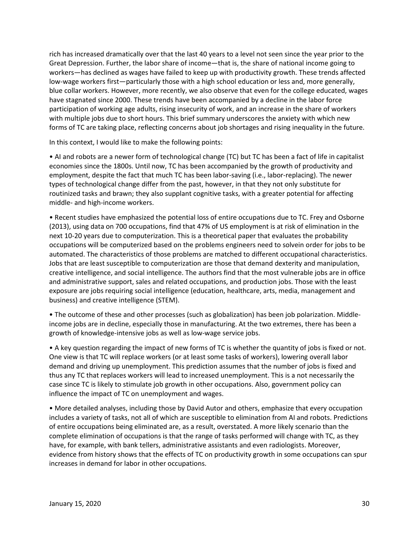rich has increased dramatically over that the last 40 years to a level not seen since the year prior to the Great Depression. Further, the labor share of income—that is, the share of national income going to workers—has declined as wages have failed to keep up with productivity growth. These trends affected low-wage workers first—particularly those with a high school education or less and, more generally, blue collar workers. However, more recently, we also observe that even for the college educated, wages have stagnated since 2000. These trends have been accompanied by a decline in the labor force participation of working age adults, rising insecurity of work, and an increase in the share of workers with multiple jobs due to short hours. This brief summary underscores the anxiety with which new forms of TC are taking place, reflecting concerns about job shortages and rising inequality in the future.

In this context, I would like to make the following points:

• AI and robots are a newer form of technological change (TC) but TC has been a fact of life in capitalist economies since the 1800s. Until now, TC has been accompanied by the growth of productivity and employment, despite the fact that much TC has been labor-saving (i.e., labor-replacing). The newer types of technological change differ from the past, however, in that they not only substitute for routinized tasks and brawn; they also supplant cognitive tasks, with a greater potential for affecting middle- and high-income workers.

• Recent studies have emphasized the potential loss of entire occupations due to TC. Frey and Osborne (2013), using data on 700 occupations, find that 47% of US employment is at risk of elimination in the next 10-20 years due to computerization. This is a theoretical paper that evaluates the probability occupations will be computerized based on the problems engineers need to solvein order for jobs to be automated. The characteristics of those problems are matched to different occupational characteristics. Jobs that are least susceptible to computerization are those that demand dexterity and manipulation, creative intelligence, and social intelligence. The authors find that the most vulnerable jobs are in office and administrative support, sales and related occupations, and production jobs. Those with the least exposure are jobs requiring social intelligence (education, healthcare, arts, media, management and business) and creative intelligence (STEM).

• The outcome of these and other processes (such as globalization) has been job polarization. Middleincome jobs are in decline, especially those in manufacturing. At the two extremes, there has been a growth of knowledge-intensive jobs as well as low-wage service jobs.

• A key question regarding the impact of new forms of TC is whether the quantity of jobs is fixed or not. One view is that TC will replace workers (or at least some tasks of workers), lowering overall labor demand and driving up unemployment. This prediction assumes that the number of jobs is fixed and thus any TC that replaces workers will lead to increased unemployment. This is a not necessarily the case since TC is likely to stimulate job growth in other occupations. Also, government policy can influence the impact of TC on unemployment and wages.

• More detailed analyses, including those by David Autor and others, emphasize that every occupation includes a variety of tasks, not all of which are susceptible to elimination from AI and robots. Predictions of entire occupations being eliminated are, as a result, overstated. A more likely scenario than the complete elimination of occupations is that the range of tasks performed will change with TC, as they have, for example, with bank tellers, administrative assistants and even radiologists. Moreover, evidence from history shows that the effects of TC on productivity growth in some occupations can spur increases in demand for labor in other occupations.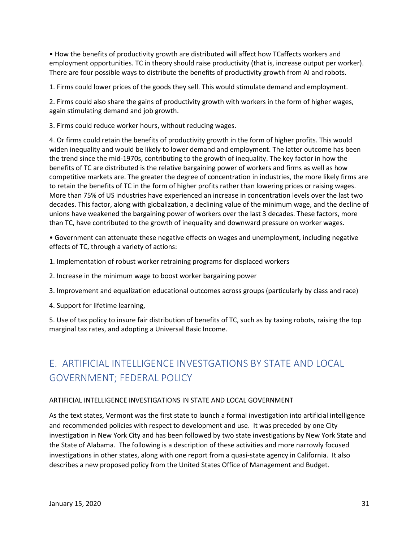• How the benefits of productivity growth are distributed will affect how TCaffects workers and employment opportunities. TC in theory should raise productivity (that is, increase output per worker). There are four possible ways to distribute the benefits of productivity growth from AI and robots.

1. Firms could lower prices of the goods they sell. This would stimulate demand and employment.

2. Firms could also share the gains of productivity growth with workers in the form of higher wages, again stimulating demand and job growth.

3. Firms could reduce worker hours, without reducing wages.

4. Or firms could retain the benefits of productivity growth in the form of higher profits. This would widen inequality and would be likely to lower demand and employment. The latter outcome has been the trend since the mid-1970s, contributing to the growth of inequality. The key factor in how the benefits of TC are distributed is the relative bargaining power of workers and firms as well as how competitive markets are. The greater the degree of concentration in industries, the more likely firms are to retain the benefits of TC in the form of higher profits rather than lowering prices or raising wages. More than 75% of US industries have experienced an increase in concentration levels over the last two decades. This factor, along with globalization, a declining value of the minimum wage, and the decline of unions have weakened the bargaining power of workers over the last 3 decades. These factors, more than TC, have contributed to the growth of inequality and downward pressure on worker wages.

• Government can attenuate these negative effects on wages and unemployment, including negative effects of TC, through a variety of actions:

- 1. Implementation of robust worker retraining programs for displaced workers
- 2. Increase in the minimum wage to boost worker bargaining power
- 3. Improvement and equalization educational outcomes across groups (particularly by class and race)
- 4. Support for lifetime learning,

5. Use of tax policy to insure fair distribution of benefits of TC, such as by taxing robots, raising the top marginal tax rates, and adopting a Universal Basic Income.

# E. ARTIFICIAL INTELLIGENCE INVESTGATIONS BY STATE AND LOCAL GOVERNMENT; FEDERAL POLICY

### ARTIFICIAL INTELLIGENCE INVESTIGATIONS IN STATE AND LOCAL GOVERNMENT

As the text states, Vermont was the first state to launch a formal investigation into artificial intelligence and recommended policies with respect to development and use. It was preceded by one City investigation in New York City and has been followed by two state investigations by New York State and the State of Alabama. The following is a description of these activities and more narrowly focused investigations in other states, along with one report from a quasi-state agency in California. It also describes a new proposed policy from the United States Office of Management and Budget.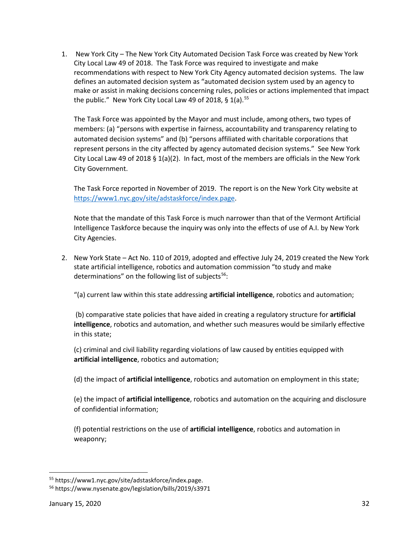1. New York City – The New York City Automated Decision Task Force was created by New York City Local Law 49 of 2018. The Task Force was required to investigate and make recommendations with respect to New York City Agency automated decision systems. The law defines an automated decision system as "automated decision system used by an agency to make or assist in making decisions concerning rules, policies or actions implemented that impact the public." New York City Local Law 49 of 2018, § 1(a).<sup>[55](#page-31-0)</sup>

The Task Force was appointed by the Mayor and must include, among others, two types of members: (a) "persons with expertise in fairness, accountability and transparency relating to automated decision systems" and (b) "persons affiliated with charitable corporations that represent persons in the city affected by agency automated decision systems." See New York City Local Law 49 of 2018 § 1(a)(2). In fact, most of the members are officials in the New York City Government.

The Task Force reported in November of 2019. The report is on the New York City website at [https://www1.nyc.gov/site/adstaskforce/index.page.](https://www1.nyc.gov/site/adstaskforce/index.page)

Note that the mandate of this Task Force is much narrower than that of the Vermont Artificial Intelligence Taskforce because the inquiry was only into the effects of use of A.I. by New York City Agencies.

2. New York State – Act No. 110 of 2019, adopted and effective July 24, 2019 created the New York state artificial intelligence, robotics and automation commission "to study and make determinations" on the following list of subjects<sup>[56](#page-31-1)</sup>:

"(a) current law within this state addressing **artificial intelligence**, robotics and automation;

(b) comparative state policies that have aided in creating a regulatory structure for **artificial intelligence**, robotics and automation, and whether such measures would be similarly effective in this state;

(c) criminal and civil liability regarding violations of law caused by entities equipped with **artificial intelligence**, robotics and automation;

(d) the impact of **artificial intelligence**, robotics and automation on employment in this state;

(e) the impact of **artificial intelligence**, robotics and automation on the acquiring and disclosure of confidential information;

(f) potential restrictions on the use of **artificial intelligence**, robotics and automation in weaponry;

<span id="page-31-0"></span><sup>55</sup> https://www1.nyc.gov/site/adstaskforce/index.page.

<span id="page-31-1"></span><sup>56</sup> https://www.nysenate.gov/legislation/bills/2019/s3971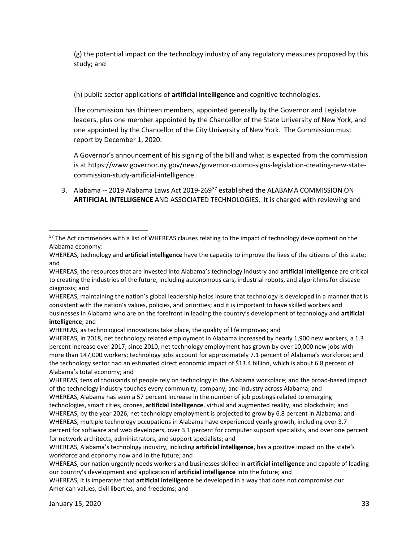(g) the potential impact on the technology industry of any regulatory measures proposed by this study; and

(h) public sector applications of **artificial intelligence** and cognitive technologies.

The commission has thirteen members, appointed generally by the Governor and Legislative leaders, plus one member appointed by the Chancellor of the State University of New York, and one appointed by the Chancellor of the City University of New York. The Commission must report by December 1, 2020.

A Governor's announcement of his signing of the bill and what is expected from the commission is at https://www.governor.ny.gov/news/governor-cuomo-signs-legislation-creating-new-statecommission-study-artificial-intelligence.

3. Alabama -- 2019 Alabama Laws Act 2019-269<sup>[57](#page-32-0)</sup> established the ALABAMA COMMISSION ON **ARTIFICIAL INTELLIGENCE** AND ASSOCIATED TECHNOLOGIES. It is charged with reviewing and

WHEREAS, tens of thousands of people rely on technology in the Alabama workplace; and the broad-based impact of the technology industry touches every community, company, and industry across Alabama; and

WHEREAS, Alabama has seen a 57 percent increase in the number of job postings related to emerging technologies, smart cities, drones, **artificial intelligence**, virtual and augmented reality, and blockchain; and WHEREAS, by the year 2026, net technology employment is projected to grow by 6.8 percent in Alabama; and WHEREAS, multiple technology occupations in Alabama have experienced yearly growth, including over 3.7 percent for software and web developers, over 3.1 percent for computer support specialists, and over one percent for network architects, administrators, and support specialists; and

<span id="page-32-0"></span><sup>&</sup>lt;sup>57</sup> The Act commences with a list of WHEREAS clauses relating to the impact of technology development on the Alabama economy:

WHEREAS, technology and **artificial intelligence** have the capacity to improve the lives of the citizens of this state; and

WHEREAS, the resources that are invested into Alabama's technology industry and **artificial intelligence** are critical to creating the industries of the future, including autonomous cars, industrial robots, and algorithms for disease diagnosis; and

WHEREAS, maintaining the nation's global leadership helps insure that technology is developed in a manner that is consistent with the nation's values, policies, and priorities; and it is important to have skilled workers and businesses in Alabama who are on the forefront in leading the country's development of technology and **artificial intelligence**; and

WHEREAS, as technological innovations take place, the quality of life improves; and

WHEREAS, in 2018, net technology related employment in Alabama increased by nearly 1,900 new workers, a 1.3 percent increase over 2017; since 2010, net technology employment has grown by over 10,000 new jobs with more than 147,000 workers; technology jobs account for approximately 7.1 percent of Alabama's workforce; and the technology sector had an estimated direct economic impact of \$13.4 billion, which is about 6.8 percent of Alabama's total economy; and

WHEREAS, Alabama's technology industry, including **artificial intelligence**, has a positive impact on the state's workforce and economy now and in the future; and

WHEREAS, our nation urgently needs workers and businesses skilled in **artificial intelligence** and capable of leading our country's development and application of **artificial intelligence** into the future; and

WHEREAS, it is imperative that **artificial intelligence** be developed in a way that does not compromise our American values, civil liberties, and freedoms; and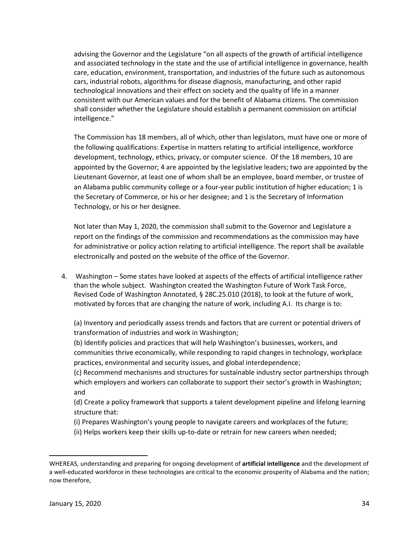advising the Governor and the Legislature "on all aspects of the growth of artificial intelligence and associated technology in the state and the use of artificial intelligence in governance, health care, education, environment, transportation, and industries of the future such as autonomous cars, industrial robots, algorithms for disease diagnosis, manufacturing, and other rapid technological innovations and their effect on society and the quality of life in a manner consistent with our American values and for the benefit of Alabama citizens. The commission shall consider whether the Legislature should establish a permanent commission on artificial intelligence."

The Commission has 18 members, all of which, other than legislators, must have one or more of the following qualifications: Expertise in matters relating to artificial intelligence, workforce development, technology, ethics, privacy, or computer science. Of the 18 members, 10 are appointed by the Governor; 4 are appointed by the legislative leaders; two are appointed by the Lieutenant Governor, at least one of whom shall be an employee, board member, or trustee of an Alabama public community college or a four-year public institution of higher education; 1 is the Secretary of Commerce, or his or her designee; and 1 is the Secretary of Information Technology, or his or her designee.

Not later than May 1, 2020, the commission shall submit to the Governor and Legislature a report on the findings of the commission and recommendations as the commission may have for administrative or policy action relating to artificial intelligence. The report shall be available electronically and posted on the website of the office of the Governor.

4. Washington – Some states have looked at aspects of the effects of artificial intelligence rather than the whole subject. Washington created the Washington Future of Work Task Force, Revised Code of Washington Annotated, § 28C.25.010 (2018), to look at the future of work, motivated by forces that are changing the nature of work, including A.I. Its charge is to:

(a) Inventory and periodically assess trends and factors that are current or potential drivers of transformation of industries and work in Washington;

(b) Identify policies and practices that will help Washington's businesses, workers, and communities thrive economically, while responding to rapid changes in technology, workplace practices, environmental and security issues, and global interdependence;

(c) Recommend mechanisms and structures for sustainable industry sector partnerships through which employers and workers can collaborate to support their sector's growth in Washington; and

(d) Create a policy framework that supports a talent development pipeline and lifelong learning structure that:

- (i) Prepares Washington's young people to navigate careers and workplaces of the future;
- (ii) Helps workers keep their skills up-to-date or retrain for new careers when needed;

WHEREAS, understanding and preparing for ongoing development of **artificial intelligence** and the development of a well-educated workforce in these technologies are critical to the economic prosperity of Alabama and the nation; now therefore,